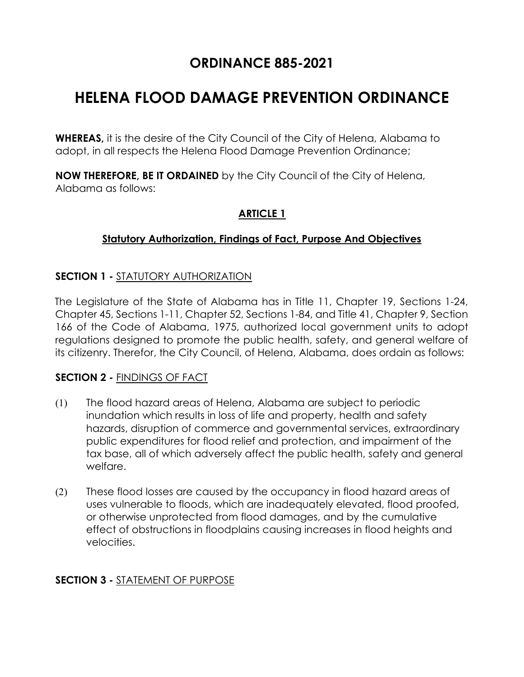# **ORDINANCE 885-2021**

# **HELENA FLOOD DAMAGE PREVENTION ORDINANCE**

**WHEREAS,** it is the desire of the City Council of the City of Helena, Alabama to adopt, in all respects the Helena Flood Damage Prevention Ordinance;

**NOW THEREFORE, BE IT ORDAINED** by the City Council of the City of Helena, Alabama as follows:

#### **ARTICLE 1**

#### **Statutory Authorization, Findings of Fact, Purpose And Objectives**

#### **SECTION 1 -** STATUTORY AUTHORIZATION

The Legislature of the State of Alabama has in Title 11, Chapter 19, Sections 1-24, Chapter 45, Sections 1-11, Chapter 52, Sections 1-84, and Title 41, Chapter 9, Section 166 of the Code of Alabama, 1975, authorized local government units to adopt regulations designed to promote the public health, safety, and general welfare of its citizenry. Therefor, the City Council, of Helena, Alabama, does ordain as follows:

#### **SECTION 2 -** FINDINGS OF FACT

- (1) The flood hazard areas of Helena, Alabama are subject to periodic inundation which results in loss of life and property, health and safety hazards, disruption of commerce and governmental services, extraordinary public expenditures for flood relief and protection, and impairment of the tax base, all of which adversely affect the public health, safety and general welfare.
- (2) These flood losses are caused by the occupancy in flood hazard areas of uses vulnerable to floods, which are inadequately elevated, flood proofed, or otherwise unprotected from flood damages, and by the cumulative effect of obstructions in floodplains causing increases in flood heights and velocities.

#### **SECTION 3 -** STATEMENT OF PURPOSE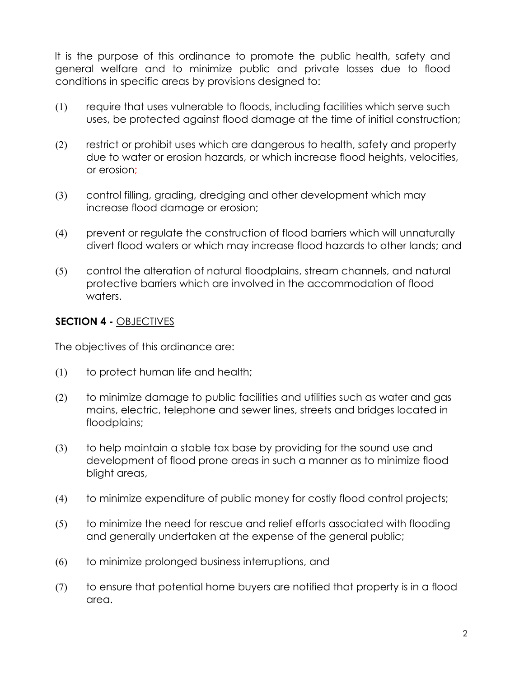It is the purpose of this ordinance to promote the public health, safety and general welfare and to minimize public and private losses due to flood conditions in specific areas by provisions designed to:

- (1) require that uses vulnerable to floods, including facilities which serve such uses, be protected against flood damage at the time of initial construction;
- (2) restrict or prohibit uses which are dangerous to health, safety and property due to water or erosion hazards, or which increase flood heights, velocities, or erosion;
- (3) control filling, grading, dredging and other development which may increase flood damage or erosion;
- (4) prevent or regulate the construction of flood barriers which will unnaturally divert flood waters or which may increase flood hazards to other lands; and
- (5) control the alteration of natural floodplains, stream channels, and natural protective barriers which are involved in the accommodation of flood waters.

#### **SECTION 4 -** OBJECTIVES

The objectives of this ordinance are:

- (1) to protect human life and health;
- (2) to minimize damage to public facilities and utilities such as water and gas mains, electric, telephone and sewer lines, streets and bridges located in floodplains;
- (3) to help maintain a stable tax base by providing for the sound use and development of flood prone areas in such a manner as to minimize flood blight areas,
- (4) to minimize expenditure of public money for costly flood control projects;
- (5) to minimize the need for rescue and relief efforts associated with flooding and generally undertaken at the expense of the general public;
- (6) to minimize prolonged business interruptions, and
- (7) to ensure that potential home buyers are notified that property is in a flood area.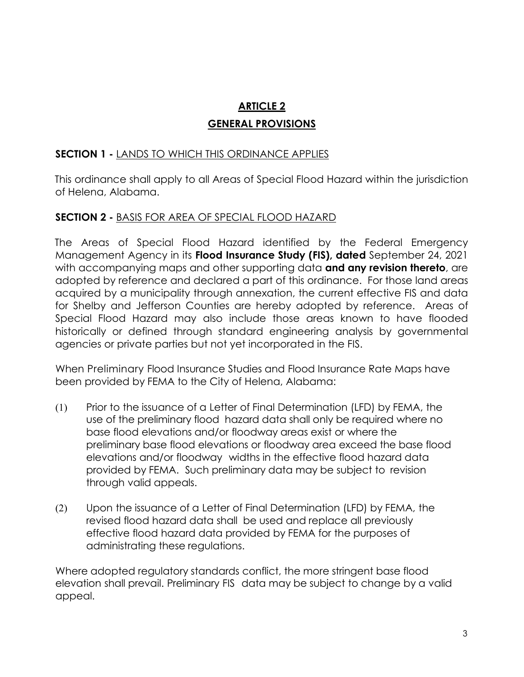# **ARTICLE 2 GENERAL PROVISIONS**

#### **SECTION 1 -** LANDS TO WHICH THIS ORDINANCE APPLIES

This ordinance shall apply to all Areas of Special Flood Hazard within the jurisdiction of Helena, Alabama.

#### **SECTION 2 -** BASIS FOR AREA OF SPECIAL FLOOD HAZARD

The Areas of Special Flood Hazard identified by the Federal Emergency Management Agency in its **Flood Insurance Study (FIS), dated** September 24, 2021 with accompanying maps and other supporting data **and any revision thereto**, are adopted by reference and declared a part of this ordinance. For those land areas acquired by a municipality through annexation, the current effective FIS and data for Shelby and Jefferson Counties are hereby adopted by reference. Areas of Special Flood Hazard may also include those areas known to have flooded historically or defined through standard engineering analysis by governmental agencies or private parties but not yet incorporated in the FIS.

When Preliminary Flood Insurance Studies and Flood Insurance Rate Maps have been provided by FEMA to the City of Helena, Alabama:

- (1) Prior to the issuance of a Letter of Final Determination (LFD) by FEMA, the use of the preliminary flood hazard data shall only be required where no base flood elevations and/or floodway areas exist or where the preliminary base flood elevations or floodway area exceed the base flood elevations and/or floodway widths in the effective flood hazard data provided by FEMA. Such preliminary data may be subject to revision through valid appeals.
- (2) Upon the issuance of a Letter of Final Determination (LFD) by FEMA, the revised flood hazard data shall be used and replace all previously effective flood hazard data provided by FEMA for the purposes of administrating these regulations.

Where adopted regulatory standards conflict, the more stringent base flood elevation shall prevail. Preliminary FIS data may be subject to change by a valid appeal.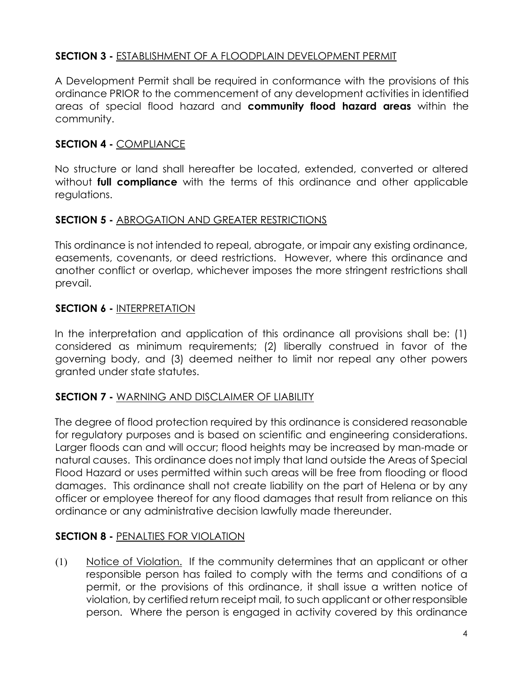#### **SECTION 3 -** ESTABLISHMENT OF A FLOODPLAIN DEVELOPMENT PERMIT

A Development Permit shall be required in conformance with the provisions of this ordinance PRIOR to the commencement of any development activities in identified areas of special flood hazard and **community flood hazard areas** within the community.

#### **SECTION 4 -** COMPLIANCE

No structure or land shall hereafter be located, extended, converted or altered without **full compliance** with the terms of this ordinance and other applicable regulations.

#### **SECTION 5 -** ABROGATION AND GREATER RESTRICTIONS

This ordinance is not intended to repeal, abrogate, or impair any existing ordinance, easements, covenants, or deed restrictions. However, where this ordinance and another conflict or overlap, whichever imposes the more stringent restrictions shall prevail.

#### **SECTION 6 -** INTERPRETATION

In the interpretation and application of this ordinance all provisions shall be: (1) considered as minimum requirements; (2) liberally construed in favor of the governing body, and (3) deemed neither to limit nor repeal any other powers granted under state statutes.

#### **SECTION 7 -** WARNING AND DISCLAIMER OF LIABILITY

The degree of flood protection required by this ordinance is considered reasonable for regulatory purposes and is based on scientific and engineering considerations. Larger floods can and will occur; flood heights may be increased by man-made or natural causes. This ordinance does not imply that land outside the Areas of Special Flood Hazard or uses permitted within such areas will be free from flooding or flood damages. This ordinance shall not create liability on the part of Helena or by any officer or employee thereof for any flood damages that result from reliance on this ordinance or any administrative decision lawfully made thereunder.

#### **SECTION 8 -** PENALTIES FOR VIOLATION

(1) Notice of Violation. If the community determines that an applicant or other responsible person has failed to comply with the terms and conditions of a permit, or the provisions of this ordinance, it shall issue a written notice of violation, by certified return receipt mail, to such applicant or other responsible person. Where the person is engaged in activity covered by this ordinance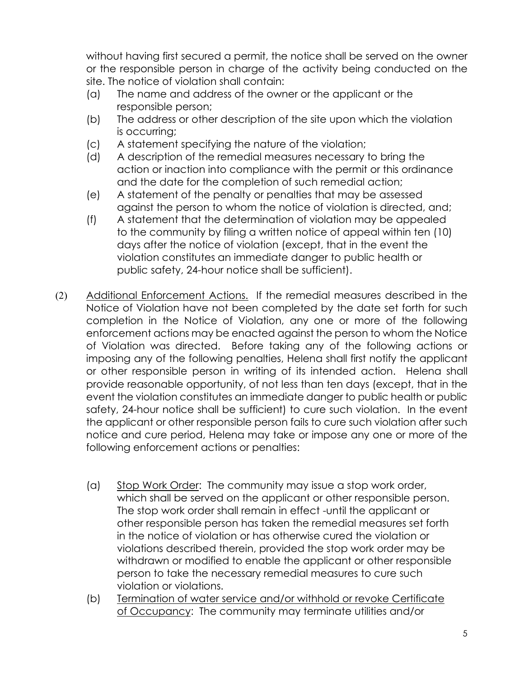without having first secured a permit, the notice shall be served on the owner or the responsible person in charge of the activity being conducted on the site. The notice of violation shall contain:

- (a) The name and address of the owner or the applicant or the responsible person;
- (b) The address or other description of the site upon which the violation is occurring;
- (c) A statement specifying the nature of the violation;
- (d) A description of the remedial measures necessary to bring the action or inaction into compliance with the permit or this ordinance and the date for the completion of such remedial action;
- (e) A statement of the penalty or penalties that may be assessed against the person to whom the notice of violation is directed, and;
- (f) A statement that the determination of violation may be appealed to the community by filing a written notice of appeal within ten (10) days after the notice of violation (except, that in the event the violation constitutes an immediate danger to public health or public safety, 24-hour notice shall be sufficient).
- (2) Additional Enforcement Actions. If the remedial measures described in the Notice of Violation have not been completed by the date set forth for such completion in the Notice of Violation, any one or more of the following enforcement actions may be enacted against the person to whom the Notice of Violation was directed. Before taking any of the following actions or imposing any of the following penalties, Helena shall first notify the applicant or other responsible person in writing of its intended action. Helena shall provide reasonable opportunity, of not less than ten days (except, that in the event the violation constitutes an immediate danger to public health or public safety, 24-hour notice shall be sufficient) to cure such violation. In the event the applicant or other responsible person fails to cure such violation after such notice and cure period, Helena may take or impose any one or more of the following enforcement actions or penalties:
	- (a) Stop Work Order: The community may issue a stop work order, which shall be served on the applicant or other responsible person. The stop work order shall remain in effect -until the applicant or other responsible person has taken the remedial measures set forth in the notice of violation or has otherwise cured the violation or violations described therein, provided the stop work order may be withdrawn or modified to enable the applicant or other responsible person to take the necessary remedial measures to cure such violation or violations.
	- (b) Termination of water service and/or withhold or revoke Certificate of Occupancy: The community may terminate utilities and/or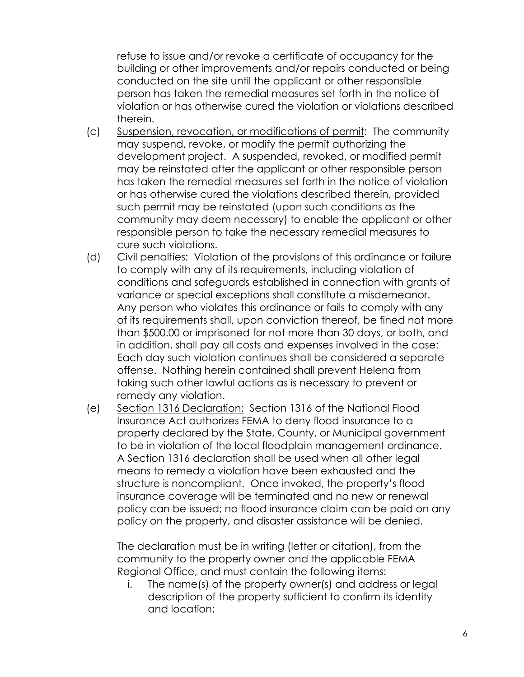refuse to issue and/or revoke a certificate of occupancy for the building or other improvements and/or repairs conducted or being conducted on the site until the applicant or other responsible person has taken the remedial measures set forth in the notice of violation or has otherwise cured the violation or violations described therein.

- (c) Suspension, revocation, or modifications of permit: The community may suspend, revoke, or modify the permit authorizing the development project. A suspended, revoked, or modified permit may be reinstated after the applicant or other responsible person has taken the remedial measures set forth in the notice of violation or has otherwise cured the violations described therein, provided such permit may be reinstated (upon such conditions as the community may deem necessary) to enable the applicant or other responsible person to take the necessary remedial measures to cure such violations.
- (d) Civil penalties: Violation of the provisions of this ordinance or failure to comply with any of its requirements, including violation of conditions and safeguards established in connection with grants of variance or special exceptions shall constitute a misdemeanor. Any person who violates this ordinance or fails to comply with any of its requirements shall, upon conviction thereof, be fined not more than \$500.00 or imprisoned for not more than 30 days, or both, and in addition, shall pay all costs and expenses involved in the case: Each day such violation continues shall be considered a separate offense. Nothing herein contained shall prevent Helena from taking such other lawful actions as is necessary to prevent or remedy any violation.
- (e) Section 1316 Declaration: Section 1316 of the National Flood Insurance Act authorizes FEMA to deny flood insurance to a property declared by the State, County, or Municipal government to be in violation of the local floodplain management ordinance. A Section 1316 declaration shall be used when all other legal means to remedy a violation have been exhausted and the structure is noncompliant. Once invoked, the property's flood insurance coverage will be terminated and no new or renewal policy can be issued; no flood insurance claim can be paid on any policy on the property, and disaster assistance will be denied.

The declaration must be in writing (letter or citation), from the community to the property owner and the applicable FEMA Regional Office, and must contain the following items:

i. The name(s) of the property owner(s) and address or legal description of the property sufficient to confirm its identity and location;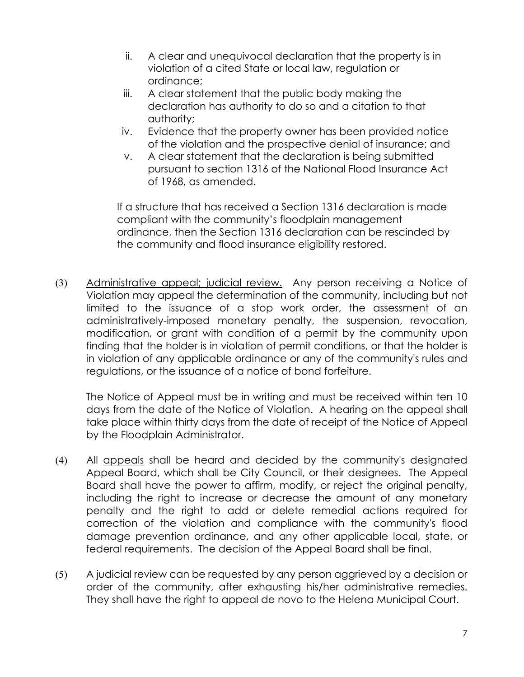- ii. A clear and unequivocal declaration that the property is in violation of a cited State or local law, regulation or ordinance;
- iii. A clear statement that the public body making the declaration has authority to do so and a citation to that authority;
- iv. Evidence that the property owner has been provided notice of the violation and the prospective denial of insurance; and
- v. A clear statement that the declaration is being submitted pursuant to section 1316 of the National Flood Insurance Act of 1968, as amended.

If a structure that has received a Section 1316 declaration is made compliant with the community's floodplain management ordinance, then the Section 1316 declaration can be rescinded by the community and flood insurance eligibility restored.

(3) Administrative appeal; judicial review. Any person receiving a Notice of Violation may appeal the determination of the community, including but not limited to the issuance of a stop work order, the assessment of an administratively-imposed monetary penalty, the suspension, revocation, modification, or grant with condition of a permit by the community upon finding that the holder is in violation of permit conditions, or that the holder is in violation of any applicable ordinance or any of the community's rules and regulations, or the issuance of a notice of bond forfeiture.

The Notice of Appeal must be in writing and must be received within ten 10 days from the date of the Notice of Violation. A hearing on the appeal shall take place within thirty days from the date of receipt of the Notice of Appeal by the Floodplain Administrator.

- (4) All appeals shall be heard and decided by the community's designated Appeal Board, which shall be City Council, or their designees. The Appeal Board shall have the power to affirm, modify, or reject the original penalty, including the right to increase or decrease the amount of any monetary penalty and the right to add or delete remedial actions required for correction of the violation and compliance with the community's flood damage prevention ordinance, and any other applicable local, state, or federal requirements. The decision of the Appeal Board shall be final.
- (5) A judicial review can be requested by any person aggrieved by a decision or order of the community, after exhausting his/her administrative remedies. They shall have the right to appeal de novo to the Helena Municipal Court.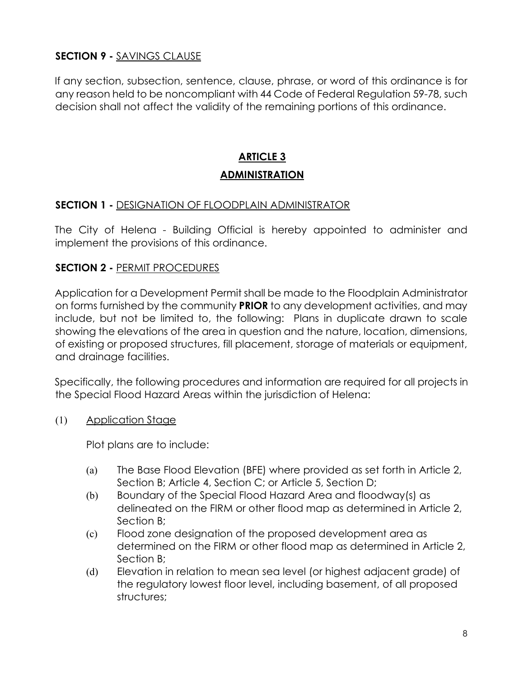#### **SECTION 9 -** SAVINGS CLAUSE

If any section, subsection, sentence, clause, phrase, or word of this ordinance is for any reason held to be noncompliant with 44 Code of Federal Regulation 59-78, such decision shall not affect the validity of the remaining portions of this ordinance.

# **ARTICLE 3 ADMINISTRATION**

#### **SECTION 1 -** DESIGNATION OF FLOODPLAIN ADMINISTRATOR

The City of Helena - Building Official is hereby appointed to administer and implement the provisions of this ordinance.

#### **SECTION 2 -** PERMIT PROCEDURES

Application for a Development Permit shall be made to the Floodplain Administrator on forms furnished by the community **PRIOR** to any development activities, and may include, but not be limited to, the following: Plans in duplicate drawn to scale showing the elevations of the area in question and the nature, location, dimensions, of existing or proposed structures, fill placement, storage of materials or equipment, and drainage facilities.

Specifically, the following procedures and information are required for all projects in the Special Flood Hazard Areas within the jurisdiction of Helena:

(1) Application Stage

Plot plans are to include:

- (a) The Base Flood Elevation (BFE) where provided as set forth in Article 2, Section B; Article 4, Section C; or Article 5, Section D;
- (b) Boundary of the Special Flood Hazard Area and floodway(s) as delineated on the FIRM or other flood map as determined in Article 2, Section B;
- (c) Flood zone designation of the proposed development area as determined on the FIRM or other flood map as determined in Article 2, Section B;
- (d) Elevation in relation to mean sea level (or highest adjacent grade) of the regulatory lowest floor level, including basement, of all proposed structures;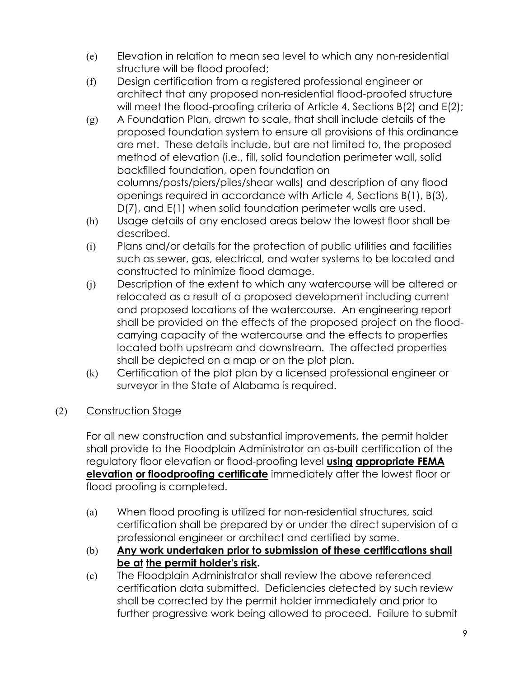- (e) Elevation in relation to mean sea level to which any non-residential structure will be flood proofed;
- (f) Design certification from a registered professional engineer or architect that any proposed non-residential flood-proofed structure will meet the flood-proofing criteria of Article 4, Sections B(2) and E(2);
- (g) A Foundation Plan, drawn to scale, that shall include details of the proposed foundation system to ensure all provisions of this ordinance are met. These details include, but are not limited to, the proposed method of elevation (i.e., fill, solid foundation perimeter wall, solid backfilled foundation, open foundation on columns/posts/piers/piles/shear walls) and description of any flood openings required in accordance with Article 4, Sections B(1), B(3), D(7), and E(1) when solid foundation perimeter walls are used.
- (h) Usage details of any enclosed areas below the lowest floor shall be described.
- (i) Plans and/or details for the protection of public utilities and facilities such as sewer, gas, electrical, and water systems to be located and constructed to minimize flood damage.
- (j) Description of the extent to which any watercourse will be altered or relocated as a result of a proposed development including current and proposed locations of the watercourse. An engineering report shall be provided on the effects of the proposed project on the floodcarrying capacity of the watercourse and the effects to properties located both upstream and downstream. The affected properties shall be depicted on a map or on the plot plan.
- (k) Certification of the plot plan by a licensed professional engineer or surveyor in the State of Alabama is required.

#### (2) Construction Stage

For all new construction and substantial improvements, the permit holder shall provide to the Floodplain Administrator an as-built certification of the regulatory floor elevation or flood-proofing level **using appropriate FEMA elevation or floodproofing certificate** immediately after the lowest floor or flood proofing is completed.

- (a) When flood proofing is utilized for non-residential structures, said certification shall be prepared by or under the direct supervision of a professional engineer or architect and certified by same.
- (b) **Any work undertaken prior to submission of these certifications shall be at the permit holder's risk.**
- (c) The Floodplain Administrator shall review the above referenced certification data submitted. Deficiencies detected by such review shall be corrected by the permit holder immediately and prior to further progressive work being allowed to proceed. Failure to submit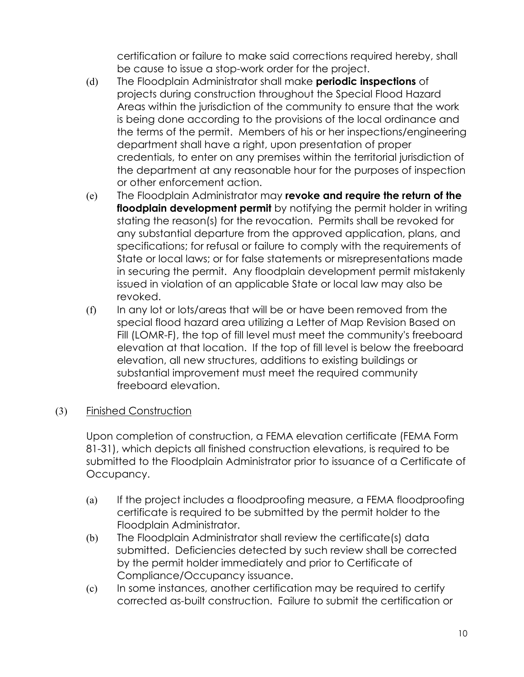certification or failure to make said corrections required hereby, shall be cause to issue a stop-work order for the project.

- (d) The Floodplain Administrator shall make **periodic inspections** of projects during construction throughout the Special Flood Hazard Areas within the jurisdiction of the community to ensure that the work is being done according to the provisions of the local ordinance and the terms of the permit. Members of his or her inspections/engineering department shall have a right, upon presentation of proper credentials, to enter on any premises within the territorial jurisdiction of the department at any reasonable hour for the purposes of inspection or other enforcement action.
- (e) The Floodplain Administrator may **revoke and require the return of the floodplain development permit** by notifying the permit holder in writing stating the reason(s) for the revocation. Permits shall be revoked for any substantial departure from the approved application, plans, and specifications; for refusal or failure to comply with the requirements of State or local laws; or for false statements or misrepresentations made in securing the permit. Any floodplain development permit mistakenly issued in violation of an applicable State or local law may also be revoked.
- (f) In any lot or lots/areas that will be or have been removed from the special flood hazard area utilizing a Letter of Map Revision Based on Fill (LOMR-F), the top of fill level must meet the community's freeboard elevation at that location. If the top of fill level is below the freeboard elevation, all new structures, additions to existing buildings or substantial improvement must meet the required community freeboard elevation.

#### (3) Finished Construction

Upon completion of construction, a FEMA elevation certificate (FEMA Form 81-31), which depicts all finished construction elevations, is required to be submitted to the Floodplain Administrator prior to issuance of a Certificate of Occupancy.

- (a) If the project includes a floodproofing measure, a FEMA floodproofing certificate is required to be submitted by the permit holder to the Floodplain Administrator.
- (b) The Floodplain Administrator shall review the certificate(s) data submitted. Deficiencies detected by such review shall be corrected by the permit holder immediately and prior to Certificate of Compliance/Occupancy issuance.
- (c) In some instances, another certification may be required to certify corrected as-built construction. Failure to submit the certification or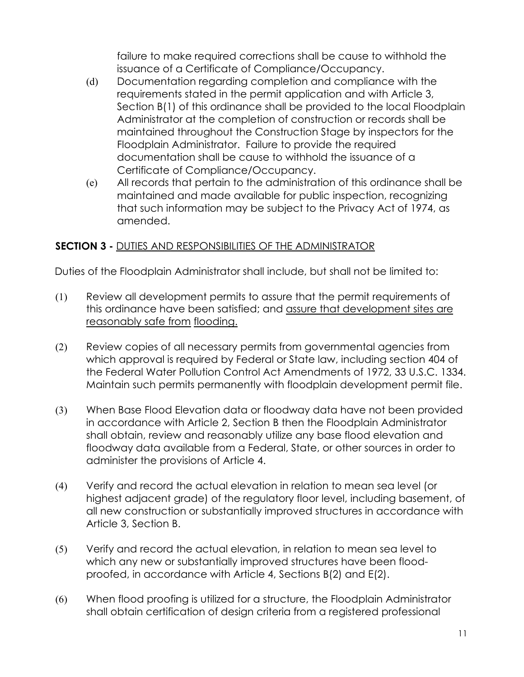failure to make required corrections shall be cause to withhold the issuance of a Certificate of Compliance/Occupancy.

- (d) Documentation regarding completion and compliance with the requirements stated in the permit application and with Article 3, Section B(1) of this ordinance shall be provided to the local Floodplain Administrator at the completion of construction or records shall be maintained throughout the Construction Stage by inspectors for the Floodplain Administrator. Failure to provide the required documentation shall be cause to withhold the issuance of a Certificate of Compliance/Occupancy.
- (e) All records that pertain to the administration of this ordinance shall be maintained and made available for public inspection, recognizing that such information may be subject to the Privacy Act of 1974, as amended.

#### **SECTION 3 -** DUTIES AND RESPONSIBILITIES OF THE ADMINISTRATOR

Duties of the Floodplain Administrator shall include, but shall not be limited to:

- (1) Review all development permits to assure that the permit requirements of this ordinance have been satisfied; and assure that development sites are reasonably safe from flooding.
- (2) Review copies of all necessary permits from governmental agencies from which approval is required by Federal or State law, including section 404 of the Federal Water Pollution Control Act Amendments of 1972, 33 U.S.C. 1334. Maintain such permits permanently with floodplain development permit file.
- (3) When Base Flood Elevation data or floodway data have not been provided in accordance with Article 2, Section B then the Floodplain Administrator shall obtain, review and reasonably utilize any base flood elevation and floodway data available from a Federal, State, or other sources in order to administer the provisions of Article 4.
- (4) Verify and record the actual elevation in relation to mean sea level (or highest adjacent grade) of the regulatory floor level, including basement, of all new construction or substantially improved structures in accordance with Article 3, Section B.
- (5) Verify and record the actual elevation, in relation to mean sea level to which any new or substantially improved structures have been floodproofed, in accordance with Article 4, Sections B(2) and E(2).
- (6) When flood proofing is utilized for a structure, the Floodplain Administrator shall obtain certification of design criteria from a registered professional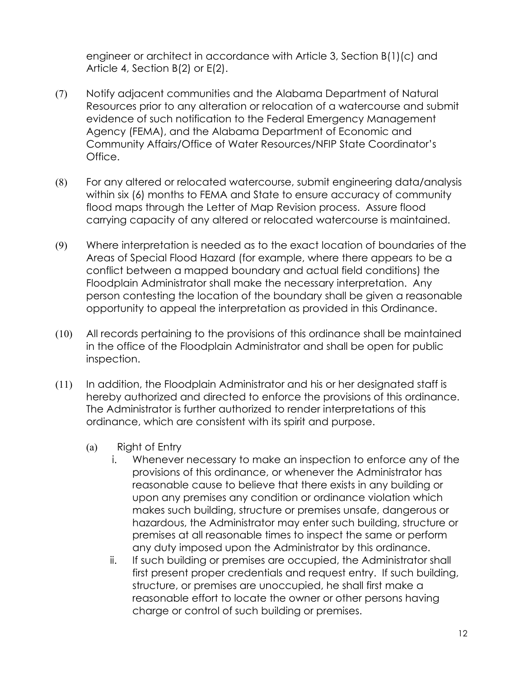engineer or architect in accordance with Article 3, Section B(1)(c) and Article 4, Section B(2) or E(2).

- (7) Notify adjacent communities and the Alabama Department of Natural Resources prior to any alteration or relocation of a watercourse and submit evidence of such notification to the Federal Emergency Management Agency (FEMA), and the Alabama Department of Economic and Community Affairs/Office of Water Resources/NFIP State Coordinator's Office.
- (8) For any altered or relocated watercourse, submit engineering data/analysis within six (6) months to FEMA and State to ensure accuracy of community flood maps through the Letter of Map Revision process. Assure flood carrying capacity of any altered or relocated watercourse is maintained.
- (9) Where interpretation is needed as to the exact location of boundaries of the Areas of Special Flood Hazard (for example, where there appears to be a conflict between a mapped boundary and actual field conditions) the Floodplain Administrator shall make the necessary interpretation. Any person contesting the location of the boundary shall be given a reasonable opportunity to appeal the interpretation as provided in this Ordinance.
- (10) All records pertaining to the provisions of this ordinance shall be maintained in the office of the Floodplain Administrator and shall be open for public inspection.
- (11) In addition, the Floodplain Administrator and his or her designated staff is hereby authorized and directed to enforce the provisions of this ordinance. The Administrator is further authorized to render interpretations of this ordinance, which are consistent with its spirit and purpose.
	- (a) Right of Entry
		- i. Whenever necessary to make an inspection to enforce any of the provisions of this ordinance, or whenever the Administrator has reasonable cause to believe that there exists in any building or upon any premises any condition or ordinance violation which makes such building, structure or premises unsafe, dangerous or hazardous, the Administrator may enter such building, structure or premises at all reasonable times to inspect the same or perform any duty imposed upon the Administrator by this ordinance.
		- ii. If such building or premises are occupied, the Administrator shall first present proper credentials and request entry. If such building, structure, or premises are unoccupied, he shall first make a reasonable effort to locate the owner or other persons having charge or control of such building or premises.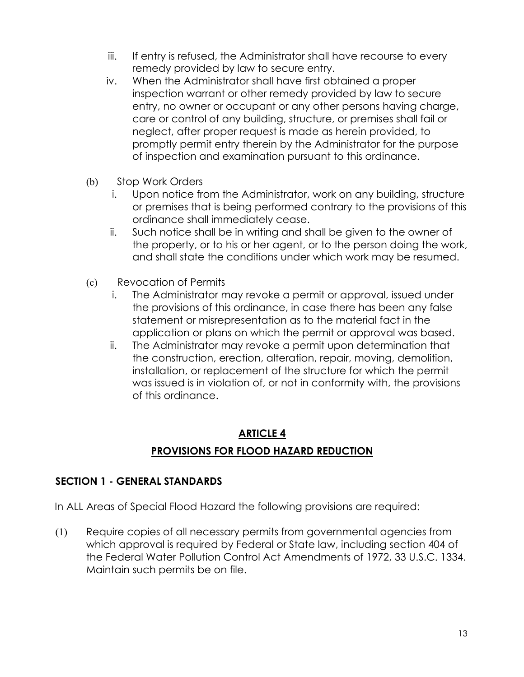- iii. If entry is refused, the Administrator shall have recourse to every remedy provided by law to secure entry.
- iv. When the Administrator shall have first obtained a proper inspection warrant or other remedy provided by law to secure entry, no owner or occupant or any other persons having charge, care or control of any building, structure, or premises shall fail or neglect, after proper request is made as herein provided, to promptly permit entry therein by the Administrator for the purpose of inspection and examination pursuant to this ordinance.
- (b) Stop Work Orders
	- i. Upon notice from the Administrator, work on any building, structure or premises that is being performed contrary to the provisions of this ordinance shall immediately cease.
	- ii. Such notice shall be in writing and shall be given to the owner of the property, or to his or her agent, or to the person doing the work, and shall state the conditions under which work may be resumed.
- (c) Revocation of Permits
	- i. The Administrator may revoke a permit or approval, issued under the provisions of this ordinance, in case there has been any false statement or misrepresentation as to the material fact in the application or plans on which the permit or approval was based.
	- ii. The Administrator may revoke a permit upon determination that the construction, erection, alteration, repair, moving, demolition, installation, or replacement of the structure for which the permit was issued is in violation of, or not in conformity with, the provisions of this ordinance.

# **ARTICLE 4 PROVISIONS FOR FLOOD HAZARD REDUCTION**

#### **SECTION 1 - GENERAL STANDARDS**

In ALL Areas of Special Flood Hazard the following provisions are required:

(1) Require copies of all necessary permits from governmental agencies from which approval is required by Federal or State law, including section 404 of the Federal Water Pollution Control Act Amendments of 1972, 33 U.S.C. 1334. Maintain such permits be on file.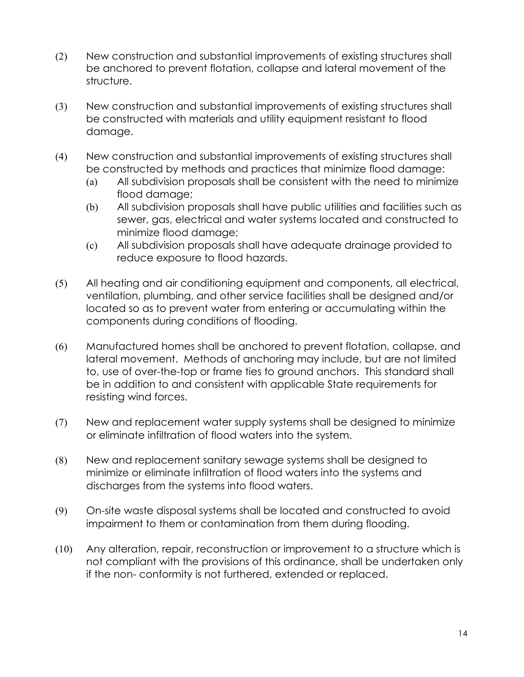- (2) New construction and substantial improvements of existing structures shall be anchored to prevent flotation, collapse and lateral movement of the structure.
- (3) New construction and substantial improvements of existing structures shall be constructed with materials and utility equipment resistant to flood damage.
- (4) New construction and substantial improvements of existing structures shall be constructed by methods and practices that minimize flood damage:
	- (a) All subdivision proposals shall be consistent with the need to minimize flood damage;
	- (b) All subdivision proposals shall have public utilities and facilities such as sewer, gas, electrical and water systems located and constructed to minimize flood damage;
	- (c) All subdivision proposals shall have adequate drainage provided to reduce exposure to flood hazards.
- (5) All heating and air conditioning equipment and components, all electrical, ventilation, plumbing, and other service facilities shall be designed and/or located so as to prevent water from entering or accumulating within the components during conditions of flooding.
- (6) Manufactured homes shall be anchored to prevent flotation, collapse, and lateral movement. Methods of anchoring may include, but are not limited to, use of over-the-top or frame ties to ground anchors. This standard shall be in addition to and consistent with applicable State requirements for resisting wind forces.
- (7) New and replacement water supply systems shall be designed to minimize or eliminate infiltration of flood waters into the system.
- (8) New and replacement sanitary sewage systems shall be designed to minimize or eliminate infiltration of flood waters into the systems and discharges from the systems into flood waters.
- (9) On-site waste disposal systems shall be located and constructed to avoid impairment to them or contamination from them during flooding.
- (10) Any alteration, repair, reconstruction or improvement to a structure which is not compliant with the provisions of this ordinance, shall be undertaken only if the non- conformity is not furthered, extended or replaced.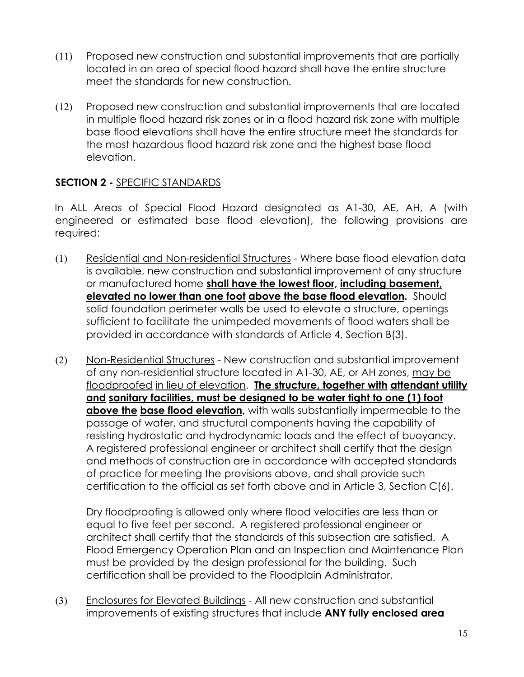- (11) Proposed new construction and substantial improvements that are partially located in an area of special flood hazard shall have the entire structure meet the standards for new construction.
- (12) Proposed new construction and substantial improvements that are located in multiple flood hazard risk zones or in a flood hazard risk zone with multiple base flood elevations shall have the entire structure meet the standards for the most hazardous flood hazard risk zone and the highest base flood elevation.

#### **SECTION 2 -** SPECIFIC STANDARDS

In ALL Areas of Special Flood Hazard designated as A1-30, AE, AH, A (with engineered or estimated base flood elevation), the following provisions are required:

- (1) Residential and Non-residential Structures Where base flood elevation data is available, new construction and substantial improvement of any structure or manufactured home **shall have the lowest floor, including basement, elevated no lower than one foot above the base flood elevation.** Should solid foundation perimeter walls be used to elevate a structure, openings sufficient to facilitate the unimpeded movements of flood waters shall be provided in accordance with standards of Article 4, Section B(3).
- (2) Non-Residential Structures New construction and substantial improvement of any non-residential structure located in A1-30, AE, or AH zones, may be floodproofed in lieu of elevation. **The structure, together with attendant utility and sanitary facilities, must be designed to be water tight to one (1) foot above the base flood elevation,** with walls substantially impermeable to the passage of water, and structural components having the capability of resisting hydrostatic and hydrodynamic loads and the effect of buoyancy. A registered professional engineer or architect shall certify that the design and methods of construction are in accordance with accepted standards of practice for meeting the provisions above, and shall provide such certification to the official as set forth above and in Article 3, Section C(6).

Dry floodproofing is allowed only where flood velocities are less than or equal to five feet per second. A registered professional engineer or architect shall certify that the standards of this subsection are satisfied. A Flood Emergency Operation Plan and an Inspection and Maintenance Plan must be provided by the design professional for the building. Such certification shall be provided to the Floodplain Administrator.

(3) Enclosures for Elevated Buildings - All new construction and substantial improvements of existing structures that include **ANY fully enclosed area**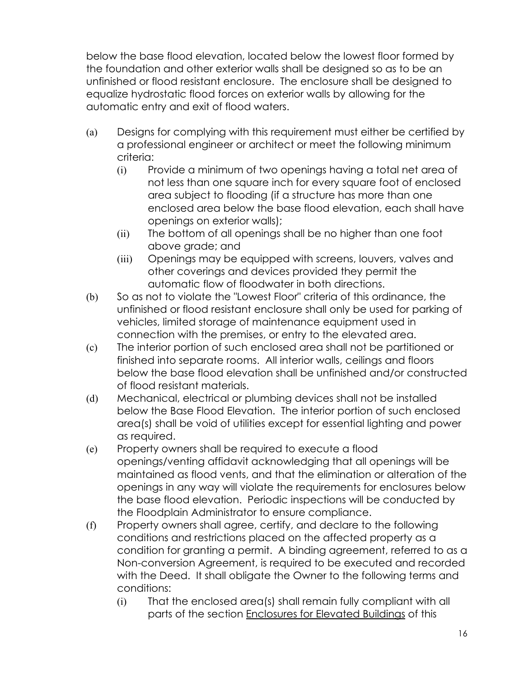below the base flood elevation, located below the lowest floor formed by the foundation and other exterior walls shall be designed so as to be an unfinished or flood resistant enclosure. The enclosure shall be designed to equalize hydrostatic flood forces on exterior walls by allowing for the automatic entry and exit of flood waters.

- (a) Designs for complying with this requirement must either be certified by a professional engineer or architect or meet the following minimum criteria:
	- (i) Provide a minimum of two openings having a total net area of not less than one square inch for every square foot of enclosed area subject to flooding (if a structure has more than one enclosed area below the base flood elevation, each shall have openings on exterior walls);
	- (ii) The bottom of all openings shall be no higher than one foot above grade; and
	- (iii) Openings may be equipped with screens, louvers, valves and other coverings and devices provided they permit the automatic flow of floodwater in both directions.
- (b) So as not to violate the "Lowest Floor" criteria of this ordinance, the unfinished or flood resistant enclosure shall only be used for parking of vehicles, limited storage of maintenance equipment used in connection with the premises, or entry to the elevated area.
- (c) The interior portion of such enclosed area shall not be partitioned or finished into separate rooms. All interior walls, ceilings and floors below the base flood elevation shall be unfinished and/or constructed of flood resistant materials.
- (d) Mechanical, electrical or plumbing devices shall not be installed below the Base Flood Elevation. The interior portion of such enclosed area(s) shall be void of utilities except for essential lighting and power as required.
- (e) Property owners shall be required to execute a flood openings/venting affidavit acknowledging that all openings will be maintained as flood vents, and that the elimination or alteration of the openings in any way will violate the requirements for enclosures below the base flood elevation. Periodic inspections will be conducted by the Floodplain Administrator to ensure compliance.
- (f) Property owners shall agree, certify, and declare to the following conditions and restrictions placed on the affected property as a condition for granting a permit. A binding agreement, referred to as a Non-conversion Agreement, is required to be executed and recorded with the Deed. It shall obligate the Owner to the following terms and conditions:
	- (i) That the enclosed area(s) shall remain fully compliant with all parts of the section Enclosures for Elevated Buildings of this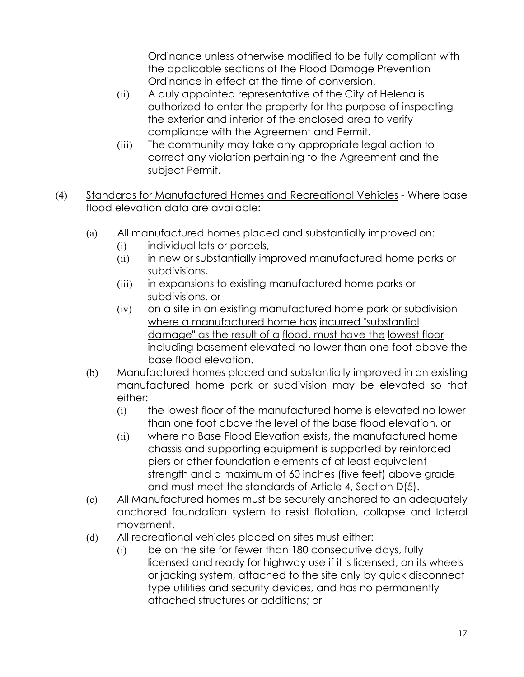Ordinance unless otherwise modified to be fully compliant with the applicable sections of the Flood Damage Prevention Ordinance in effect at the time of conversion.

- (ii) A duly appointed representative of the City of Helena is authorized to enter the property for the purpose of inspecting the exterior and interior of the enclosed area to verify compliance with the Agreement and Permit.
- (iii) The community may take any appropriate legal action to correct any violation pertaining to the Agreement and the subject Permit.
- (4) Standards for Manufactured Homes and Recreational Vehicles Where base flood elevation data are available:
	- (a) All manufactured homes placed and substantially improved on:
		- (i) individual lots or parcels,
		- (ii) in new or substantially improved manufactured home parks or subdivisions,
		- (iii) in expansions to existing manufactured home parks or subdivisions, or
		- (iv) on a site in an existing manufactured home park or subdivision where a manufactured home has incurred "substantial damage" as the result of a flood, must have the lowest floor including basement elevated no lower than one foot above the base flood elevation.
	- (b) Manufactured homes placed and substantially improved in an existing manufactured home park or subdivision may be elevated so that either:
		- (i) the lowest floor of the manufactured home is elevated no lower than one foot above the level of the base flood elevation, or
		- (ii) where no Base Flood Elevation exists, the manufactured home chassis and supporting equipment is supported by reinforced piers or other foundation elements of at least equivalent strength and a maximum of 60 inches (five feet) above grade and must meet the standards of Article 4, Section D(5).
	- (c) All Manufactured homes must be securely anchored to an adequately anchored foundation system to resist flotation, collapse and lateral movement.
	- (d) All recreational vehicles placed on sites must either:
		- (i) be on the site for fewer than 180 consecutive days, fully licensed and ready for highway use if it is licensed, on its wheels or jacking system, attached to the site only by quick disconnect type utilities and security devices, and has no permanently attached structures or additions; or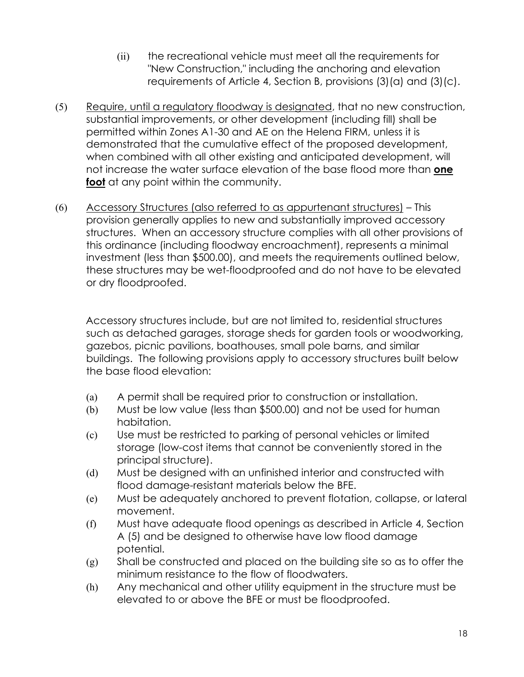- (ii) the recreational vehicle must meet all the requirements for "New Construction," including the anchoring and elevation requirements of Article 4, Section B, provisions (3)(a) and (3)(c).
- (5) Require, until a regulatory floodway is designated, that no new construction, substantial improvements, or other development (including fill) shall be permitted within Zones A1-30 and AE on the Helena FIRM, unless it is demonstrated that the cumulative effect of the proposed development, when combined with all other existing and anticipated development, will not increase the water surface elevation of the base flood more than **one foot** at any point within the community.
- (6) Accessory Structures (also referred to as appurtenant structures) This provision generally applies to new and substantially improved accessory structures. When an accessory structure complies with all other provisions of this ordinance (including floodway encroachment), represents a minimal investment (less than \$500.00), and meets the requirements outlined below, these structures may be wet-floodproofed and do not have to be elevated or dry floodproofed.

Accessory structures include, but are not limited to, residential structures such as detached garages, storage sheds for garden tools or woodworking, gazebos, picnic pavilions, boathouses, small pole barns, and similar buildings. The following provisions apply to accessory structures built below the base flood elevation:

- (a) A permit shall be required prior to construction or installation.
- (b) Must be low value (less than \$500.00) and not be used for human habitation.
- (c) Use must be restricted to parking of personal vehicles or limited storage (low-cost items that cannot be conveniently stored in the principal structure).
- (d) Must be designed with an unfinished interior and constructed with flood damage-resistant materials below the BFE.
- (e) Must be adequately anchored to prevent flotation, collapse, or lateral movement.
- (f) Must have adequate flood openings as described in Article 4, Section A (5) and be designed to otherwise have low flood damage potential.
- (g) Shall be constructed and placed on the building site so as to offer the minimum resistance to the flow of floodwaters.
- (h) Any mechanical and other utility equipment in the structure must be elevated to or above the BFE or must be floodproofed.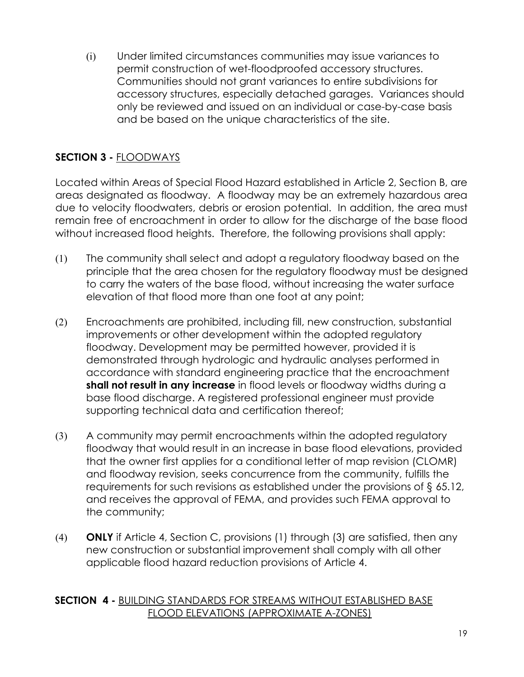(i) Under limited circumstances communities may issue variances to permit construction of wet-floodproofed accessory structures. Communities should not grant variances to entire subdivisions for accessory structures, especially detached garages. Variances should only be reviewed and issued on an individual or case-by-case basis and be based on the unique characteristics of the site.

#### **SECTION 3 -** FLOODWAYS

Located within Areas of Special Flood Hazard established in Article 2, Section B, are areas designated as floodway. A floodway may be an extremely hazardous area due to velocity floodwaters, debris or erosion potential. In addition, the area must remain free of encroachment in order to allow for the discharge of the base flood without increased flood heights. Therefore, the following provisions shall apply:

- (1) The community shall select and adopt a regulatory floodway based on the principle that the area chosen for the regulatory floodway must be designed to carry the waters of the base flood, without increasing the water surface elevation of that flood more than one foot at any point;
- (2) Encroachments are prohibited, including fill, new construction, substantial improvements or other development within the adopted regulatory floodway. Development may be permitted however, provided it is demonstrated through hydrologic and hydraulic analyses performed in accordance with standard engineering practice that the encroachment **shall not result in any increase** in flood levels or floodway widths during a base flood discharge. A registered professional engineer must provide supporting technical data and certification thereof;
- (3) A community may permit encroachments within the adopted regulatory floodway that would result in an increase in base flood elevations, provided that the owner first applies for a conditional letter of map revision (CLOMR) and floodway revision, seeks concurrence from the community, fulfills the requirements for such revisions as established under the provisions of § 65.12, and receives the approval of FEMA, and provides such FEMA approval to the community;
- (4) **ONLY** if Article 4, Section C, provisions (1) through (3) are satisfied, then any new construction or substantial improvement shall comply with all other applicable flood hazard reduction provisions of Article 4.

#### **SECTION 4 -** BUILDING STANDARDS FOR STREAMS WITHOUT ESTABLISHED BASE FLOOD ELEVATIONS (APPROXIMATE A-ZONES)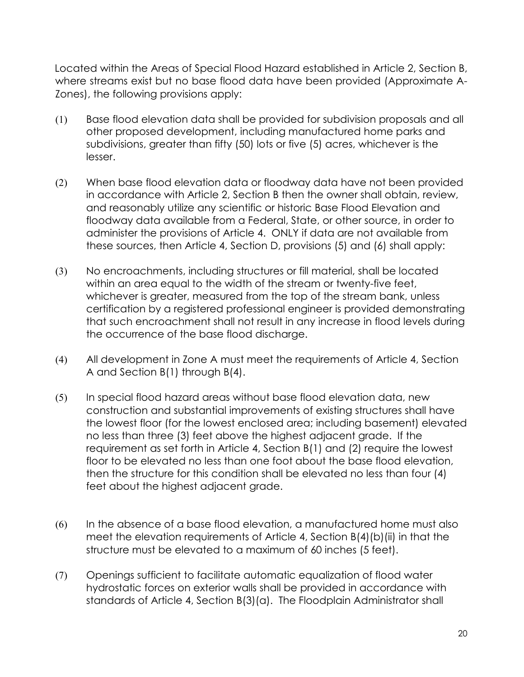Located within the Areas of Special Flood Hazard established in Article 2, Section B, where streams exist but no base flood data have been provided (Approximate A-Zones), the following provisions apply:

- (1) Base flood elevation data shall be provided for subdivision proposals and all other proposed development, including manufactured home parks and subdivisions, greater than fifty (50) lots or five (5) acres, whichever is the lesser.
- (2) When base flood elevation data or floodway data have not been provided in accordance with Article 2, Section B then the owner shall obtain, review, and reasonably utilize any scientific or historic Base Flood Elevation and floodway data available from a Federal, State, or other source, in order to administer the provisions of Article 4. ONLY if data are not available from these sources, then Article 4, Section D, provisions (5) and (6) shall apply:
- (3) No encroachments, including structures or fill material, shall be located within an area equal to the width of the stream or twenty-five feet, whichever is greater, measured from the top of the stream bank, unless certification by a registered professional engineer is provided demonstrating that such encroachment shall not result in any increase in flood levels during the occurrence of the base flood discharge.
- (4) All development in Zone A must meet the requirements of Article 4, Section A and Section B(1) through B(4).
- (5) In special flood hazard areas without base flood elevation data, new construction and substantial improvements of existing structures shall have the lowest floor (for the lowest enclosed area; including basement) elevated no less than three (3) feet above the highest adjacent grade. If the requirement as set forth in Article 4, Section B(1) and (2) require the lowest floor to be elevated no less than one foot about the base flood elevation, then the structure for this condition shall be elevated no less than four (4) feet about the highest adjacent grade.
- (6) In the absence of a base flood elevation, a manufactured home must also meet the elevation requirements of Article 4, Section B(4)(b)(ii) in that the structure must be elevated to a maximum of 60 inches (5 feet).
- (7) Openings sufficient to facilitate automatic equalization of flood water hydrostatic forces on exterior walls shall be provided in accordance with standards of Article 4, Section B(3)(a). The Floodplain Administrator shall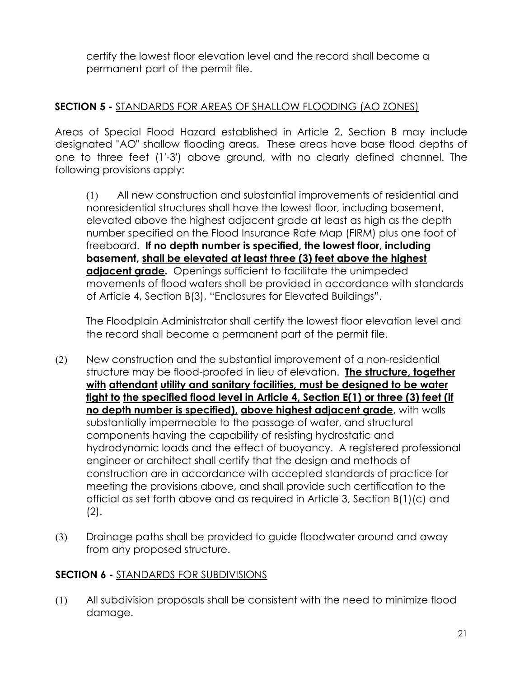certify the lowest floor elevation level and the record shall become a permanent part of the permit file.

#### **SECTION 5 -** STANDARDS FOR AREAS OF SHALLOW FLOODING (AO ZONES)

Areas of Special Flood Hazard established in Article 2, Section B may include designated "AO" shallow flooding areas. These areas have base flood depths of one to three feet (1'-3') above ground, with no clearly defined channel. The following provisions apply:

(1) All new construction and substantial improvements of residential and nonresidential structures shall have the lowest floor, including basement, elevated above the highest adjacent grade at least as high as the depth number specified on the Flood Insurance Rate Map (FIRM) plus one foot of freeboard. **If no depth number is specified, the lowest floor, including basement, shall be elevated at least three (3) feet above the highest adjacent grade.** Openings sufficient to facilitate the unimpeded movements of flood waters shall be provided in accordance with standards of Article 4, Section B(3), "Enclosures for Elevated Buildings".

The Floodplain Administrator shall certify the lowest floor elevation level and the record shall become a permanent part of the permit file.

- (2) New construction and the substantial improvement of a non-residential structure may be flood-proofed in lieu of elevation. **The structure, together with attendant utility and sanitary facilities, must be designed to be water tight to the specified flood level in Article 4, Section E(1) or three (3) feet (if no depth number is specified), above highest adjacent grade,** with walls substantially impermeable to the passage of water, and structural components having the capability of resisting hydrostatic and hydrodynamic loads and the effect of buoyancy. A registered professional engineer or architect shall certify that the design and methods of construction are in accordance with accepted standards of practice for meeting the provisions above, and shall provide such certification to the official as set forth above and as required in Article 3, Section B(1)(c) and (2).
- (3) Drainage paths shall be provided to guide floodwater around and away from any proposed structure.

#### **SECTION 6 -** STANDARDS FOR SUBDIVISIONS

(1) All subdivision proposals shall be consistent with the need to minimize flood damage.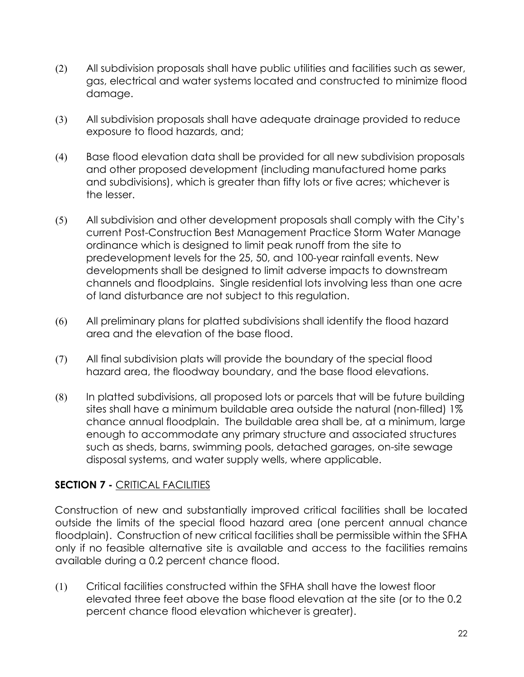- (2) All subdivision proposals shall have public utilities and facilities such as sewer, gas, electrical and water systems located and constructed to minimize flood damage.
- (3) All subdivision proposals shall have adequate drainage provided to reduce exposure to flood hazards, and;
- (4) Base flood elevation data shall be provided for all new subdivision proposals and other proposed development (including manufactured home parks and subdivisions), which is greater than fifty lots or five acres; whichever is the lesser.
- (5) All subdivision and other development proposals shall comply with the City's current Post-Construction Best Management Practice Storm Water Manage ordinance which is designed to limit peak runoff from the site to predevelopment levels for the 25, 50, and 100-year rainfall events. New developments shall be designed to limit adverse impacts to downstream channels and floodplains. Single residential lots involving less than one acre of land disturbance are not subject to this regulation.
- (6) All preliminary plans for platted subdivisions shall identify the flood hazard area and the elevation of the base flood.
- (7) All final subdivision plats will provide the boundary of the special flood hazard area, the floodway boundary, and the base flood elevations.
- (8) In platted subdivisions, all proposed lots or parcels that will be future building sites shall have a minimum buildable area outside the natural (non-filled) 1% chance annual floodplain. The buildable area shall be, at a minimum, large enough to accommodate any primary structure and associated structures such as sheds, barns, swimming pools, detached garages, on-site sewage disposal systems, and water supply wells, where applicable.

#### **SECTION 7 -** CRITICAL FACILITIES

Construction of new and substantially improved critical facilities shall be located outside the limits of the special flood hazard area (one percent annual chance floodplain). Construction of new critical facilities shall be permissible within the SFHA only if no feasible alternative site is available and access to the facilities remains available during a 0.2 percent chance flood.

(1) Critical facilities constructed within the SFHA shall have the lowest floor elevated three feet above the base flood elevation at the site (or to the 0.2 percent chance flood elevation whichever is greater).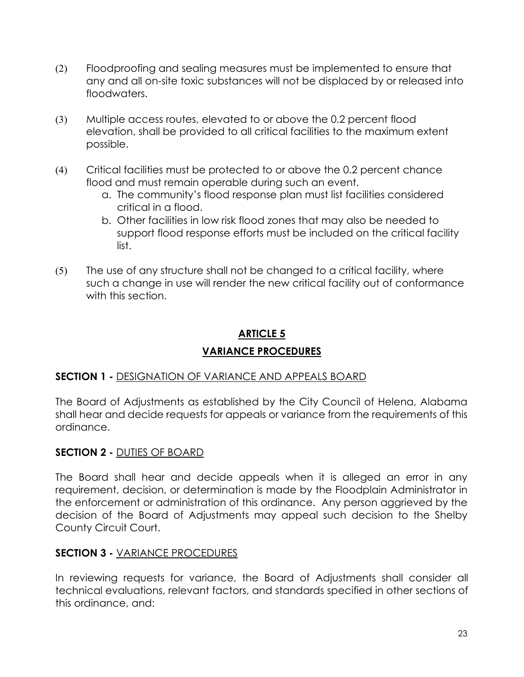- (2) Floodproofing and sealing measures must be implemented to ensure that any and all on-site toxic substances will not be displaced by or released into floodwaters.
- (3) Multiple access routes, elevated to or above the 0.2 percent flood elevation, shall be provided to all critical facilities to the maximum extent possible.
- (4) Critical facilities must be protected to or above the 0.2 percent chance flood and must remain operable during such an event.
	- a. The community's flood response plan must list facilities considered critical in a flood.
	- b. Other facilities in low risk flood zones that may also be needed to support flood response efforts must be included on the critical facility list.
- (5) The use of any structure shall not be changed to a critical facility, where such a change in use will render the new critical facility out of conformance with this section.

#### **ARTICLE 5**

#### **VARIANCE PROCEDURES**

#### **SECTION 1 -** DESIGNATION OF VARIANCE AND APPEALS BOARD

The Board of Adjustments as established by the City Council of Helena, Alabama shall hear and decide requests for appeals or variance from the requirements of this ordinance.

#### **SECTION 2 -** DUTIES OF BOARD

The Board shall hear and decide appeals when it is alleged an error in any requirement, decision, or determination is made by the Floodplain Administrator in the enforcement or administration of this ordinance. Any person aggrieved by the decision of the Board of Adjustments may appeal such decision to the Shelby County Circuit Court.

#### **SECTION 3 -** VARIANCE PROCEDURES

In reviewing requests for variance, the Board of Adjustments shall consider all technical evaluations, relevant factors, and standards specified in other sections of this ordinance, and: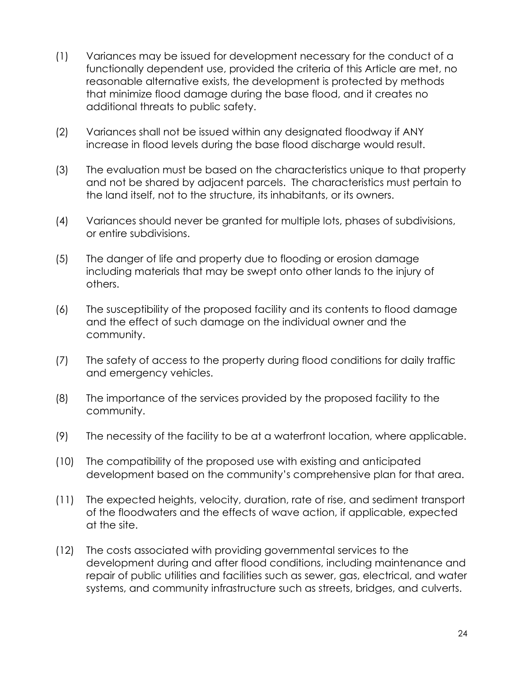- (1) Variances may be issued for development necessary for the conduct of a functionally dependent use, provided the criteria of this Article are met, no reasonable alternative exists, the development is protected by methods that minimize flood damage during the base flood, and it creates no additional threats to public safety.
- (2) Variances shall not be issued within any designated floodway if ANY increase in flood levels during the base flood discharge would result.
- (3) The evaluation must be based on the characteristics unique to that property and not be shared by adjacent parcels. The characteristics must pertain to the land itself, not to the structure, its inhabitants, or its owners.
- (4) Variances should never be granted for multiple lots, phases of subdivisions, or entire subdivisions.
- (5) The danger of life and property due to flooding or erosion damage including materials that may be swept onto other lands to the injury of others.
- (6) The susceptibility of the proposed facility and its contents to flood damage and the effect of such damage on the individual owner and the community.
- (7) The safety of access to the property during flood conditions for daily traffic and emergency vehicles.
- (8) The importance of the services provided by the proposed facility to the community.
- (9) The necessity of the facility to be at a waterfront location, where applicable.
- (10) The compatibility of the proposed use with existing and anticipated development based on the community's comprehensive plan for that area.
- (11) The expected heights, velocity, duration, rate of rise, and sediment transport of the floodwaters and the effects of wave action, if applicable, expected at the site.
- (12) The costs associated with providing governmental services to the development during and after flood conditions, including maintenance and repair of public utilities and facilities such as sewer, gas, electrical, and water systems, and community infrastructure such as streets, bridges, and culverts.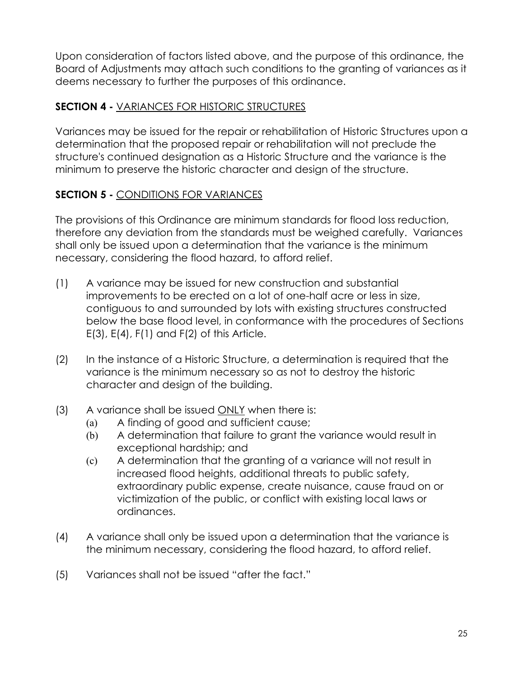Upon consideration of factors listed above, and the purpose of this ordinance, the Board of Adjustments may attach such conditions to the granting of variances as it deems necessary to further the purposes of this ordinance.

#### **SECTION 4 -** VARIANCES FOR HISTORIC STRUCTURES

Variances may be issued for the repair or rehabilitation of Historic Structures upon a determination that the proposed repair or rehabilitation will not preclude the structure's continued designation as a Historic Structure and the variance is the minimum to preserve the historic character and design of the structure.

#### **SECTION 5 -** CONDITIONS FOR VARIANCES

The provisions of this Ordinance are minimum standards for flood loss reduction, therefore any deviation from the standards must be weighed carefully. Variances shall only be issued upon a determination that the variance is the minimum necessary, considering the flood hazard, to afford relief.

- (1) A variance may be issued for new construction and substantial improvements to be erected on a lot of one-half acre or less in size, contiguous to and surrounded by lots with existing structures constructed below the base flood level, in conformance with the procedures of Sections  $E(3)$ ,  $E(4)$ ,  $F(1)$  and  $F(2)$  of this Article.
- (2) In the instance of a Historic Structure, a determination is required that the variance is the minimum necessary so as not to destroy the historic character and design of the building.
- $(3)$  A variance shall be issued ONLY when there is:
	- (a) A finding of good and sufficient cause;
	- (b) A determination that failure to grant the variance would result in exceptional hardship; and
	- (c) A determination that the granting of a variance will not result in increased flood heights, additional threats to public safety, extraordinary public expense, create nuisance, cause fraud on or victimization of the public, or conflict with existing local laws or ordinances.
- (4) A variance shall only be issued upon a determination that the variance is the minimum necessary, considering the flood hazard, to afford relief.
- (5) Variances shall not be issued "after the fact."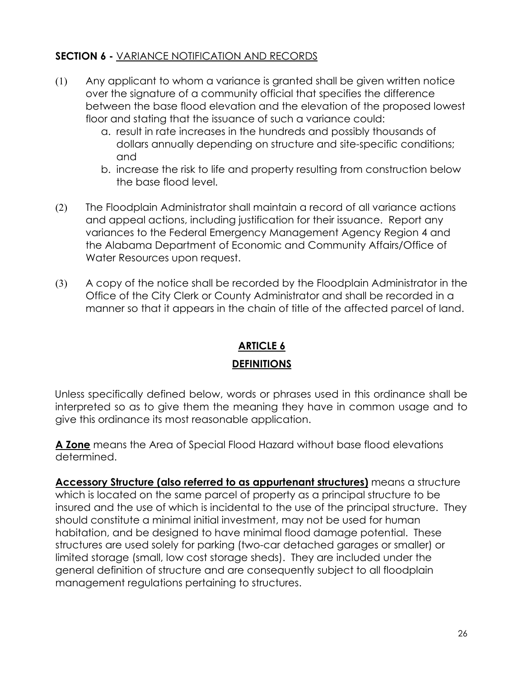#### **SECTION 6 -** VARIANCE NOTIFICATION AND RECORDS

- (1) Any applicant to whom a variance is granted shall be given written notice over the signature of a community official that specifies the difference between the base flood elevation and the elevation of the proposed lowest floor and stating that the issuance of such a variance could:
	- a. result in rate increases in the hundreds and possibly thousands of dollars annually depending on structure and site-specific conditions; and
	- b. increase the risk to life and property resulting from construction below the base flood level.
- (2) The Floodplain Administrator shall maintain a record of all variance actions and appeal actions, including justification for their issuance. Report any variances to the Federal Emergency Management Agency Region 4 and the Alabama Department of Economic and Community Affairs/Office of Water Resources upon request.
- (3) A copy of the notice shall be recorded by the Floodplain Administrator in the Office of the City Clerk or County Administrator and shall be recorded in a manner so that it appears in the chain of title of the affected parcel of land.

### **ARTICLE 6 DEFINITIONS**

Unless specifically defined below, words or phrases used in this ordinance shall be interpreted so as to give them the meaning they have in common usage and to give this ordinance its most reasonable application.

**A Zone** means the Area of Special Flood Hazard without base flood elevations determined.

**Accessory Structure (also referred to as appurtenant structures)** means a structure which is located on the same parcel of property as a principal structure to be insured and the use of which is incidental to the use of the principal structure. They should constitute a minimal initial investment, may not be used for human habitation, and be designed to have minimal flood damage potential. These structures are used solely for parking (two-car detached garages or smaller) or limited storage (small, low cost storage sheds). They are included under the general definition of structure and are consequently subject to all floodplain management regulations pertaining to structures.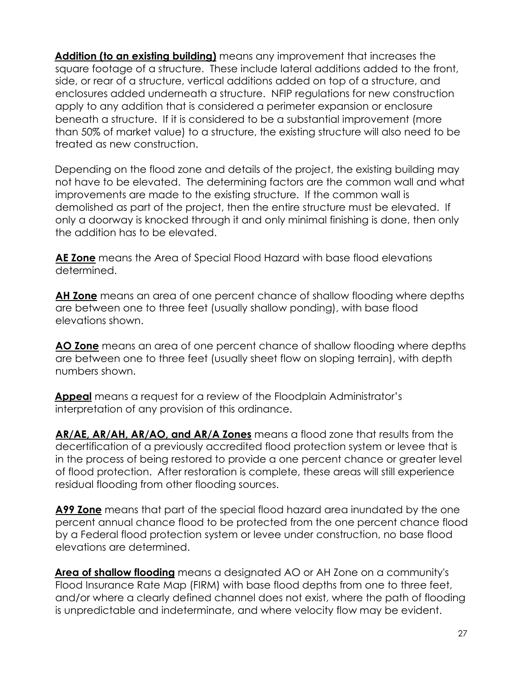**Addition (to an existing building)** means any improvement that increases the square footage of a structure. These include lateral additions added to the front, side, or rear of a structure, vertical additions added on top of a structure, and enclosures added underneath a structure. NFIP regulations for new construction apply to any addition that is considered a perimeter expansion or enclosure beneath a structure. If it is considered to be a substantial improvement (more than 50% of market value) to a structure, the existing structure will also need to be treated as new construction.

Depending on the flood zone and details of the project, the existing building may not have to be elevated. The determining factors are the common wall and what improvements are made to the existing structure. If the common wall is demolished as part of the project, then the entire structure must be elevated. If only a doorway is knocked through it and only minimal finishing is done, then only the addition has to be elevated.

**AE Zone** means the Area of Special Flood Hazard with base flood elevations determined.

**AH Zone** means an area of one percent chance of shallow flooding where depths are between one to three feet (usually shallow ponding), with base flood elevations shown.

**AO Zone** means an area of one percent chance of shallow flooding where depths are between one to three feet (usually sheet flow on sloping terrain), with depth numbers shown.

**Appeal** means a request for a review of the Floodplain Administrator's interpretation of any provision of this ordinance.

**AR/AE, AR/AH, AR/AO, and AR/A Zones** means a flood zone that results from the decertification of a previously accredited flood protection system or levee that is in the process of being restored to provide a one percent chance or greater level of flood protection. After restoration is complete, these areas will still experience residual flooding from other flooding sources.

**A99 Zone** means that part of the special flood hazard area inundated by the one percent annual chance flood to be protected from the one percent chance flood by a Federal flood protection system or levee under construction, no base flood elevations are determined.

**Area of shallow flooding** means a designated AO or AH Zone on a community's Flood Insurance Rate Map (FIRM) with base flood depths from one to three feet, and/or where a clearly defined channel does not exist, where the path of flooding is unpredictable and indeterminate, and where velocity flow may be evident.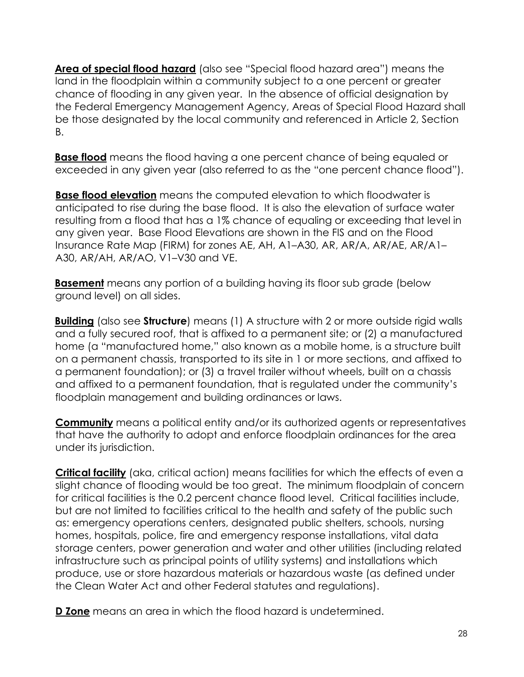**Area of special flood hazard** (also see "Special flood hazard area") means the land in the floodplain within a community subject to a one percent or greater chance of flooding in any given year. In the absence of official designation by the Federal Emergency Management Agency, Areas of Special Flood Hazard shall be those designated by the local community and referenced in Article 2, Section B.

**Base flood** means the flood having a one percent chance of being equaled or exceeded in any given year (also referred to as the "one percent chance flood").

**Base flood elevation** means the computed elevation to which floodwater is anticipated to rise during the base flood. It is also the elevation of surface water resulting from a flood that has a 1% chance of equaling or exceeding that level in any given year. Base Flood Elevations are shown in the FIS and on the Flood Insurance Rate Map (FIRM) for zones AE, AH, A1–A30, AR, AR/A, AR/AE, AR/A1– A30, AR/AH, AR/AO, V1–V30 and VE.

**Basement** means any portion of a building having its floor sub grade (below ground level) on all sides.

**Building** (also see **Structure**) means (1) A structure with 2 or more outside rigid walls and a fully secured roof, that is affixed to a permanent site; or (2) a manufactured home (a "manufactured home," also known as a mobile home, is a structure built on a permanent chassis, transported to its site in 1 or more sections, and affixed to a permanent foundation); or (3) a travel trailer without wheels, built on a chassis and affixed to a permanent foundation, that is regulated under the community's floodplain management and building ordinances or laws.

**Community** means a political entity and/or its authorized agents or representatives that have the authority to adopt and enforce floodplain ordinances for the area under its jurisdiction.

**Critical facility** (aka, critical action) means facilities for which the effects of even a slight chance of flooding would be too great. The minimum floodplain of concern for critical facilities is the 0.2 percent chance flood level. Critical facilities include, but are not limited to facilities critical to the health and safety of the public such as: emergency operations centers, designated public shelters, schools, nursing homes, hospitals, police, fire and emergency response installations, vital data storage centers, power generation and water and other utilities (including related infrastructure such as principal points of utility systems) and installations which produce, use or store hazardous materials or hazardous waste (as defined under the Clean Water Act and other Federal statutes and regulations).

**D Zone** means an area in which the flood hazard is undetermined.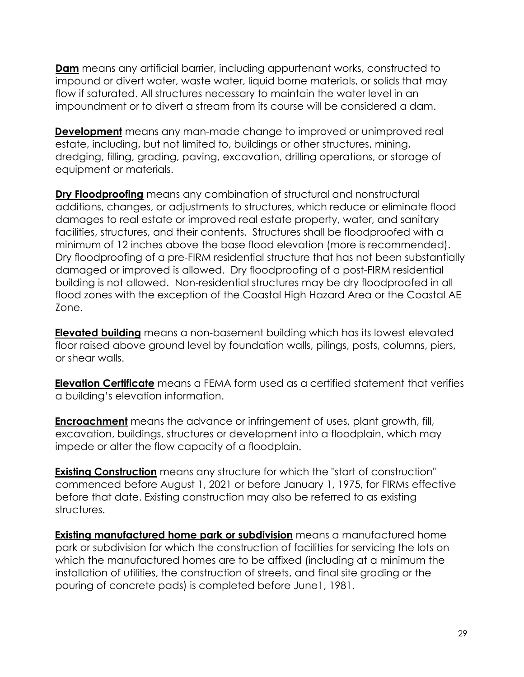**Dam** means any artificial barrier, including appurtenant works, constructed to impound or divert water, waste water, liquid borne materials, or solids that may flow if saturated. All structures necessary to maintain the water level in an impoundment or to divert a stream from its course will be considered a dam.

**Development** means any man-made change to improved or unimproved real estate, including, but not limited to, buildings or other structures, mining, dredging, filling, grading, paving, excavation, drilling operations, or storage of equipment or materials.

**Dry Floodproofing** means any combination of structural and nonstructural additions, changes, or adjustments to structures, which reduce or eliminate flood damages to real estate or improved real estate property, water, and sanitary facilities, structures, and their contents. Structures shall be floodproofed with a minimum of 12 inches above the base flood elevation (more is recommended). Dry floodproofing of a pre-FIRM residential structure that has not been substantially damaged or improved is allowed. Dry floodproofing of a post-FIRM residential building is not allowed. Non-residential structures may be dry floodproofed in all flood zones with the exception of the Coastal High Hazard Area or the Coastal AE Zone.

**Elevated building** means a non-basement building which has its lowest elevated floor raised above ground level by foundation walls, pilings, posts, columns, piers, or shear walls.

**Elevation Certificate** means a FEMA form used as a certified statement that verifies a building's elevation information.

**Encroachment** means the advance or infringement of uses, plant growth, fill, excavation, buildings, structures or development into a floodplain, which may impede or alter the flow capacity of a floodplain.

**Existing Construction** means any structure for which the "start of construction" commenced before August 1, 2021 or before January 1, 1975, for FIRMs effective before that date. Existing construction may also be referred to as existing structures.

**Existing manufactured home park or subdivision** means a manufactured home park or subdivision for which the construction of facilities for servicing the lots on which the manufactured homes are to be affixed (including at a minimum the installation of utilities, the construction of streets, and final site grading or the pouring of concrete pads) is completed before June1, 1981.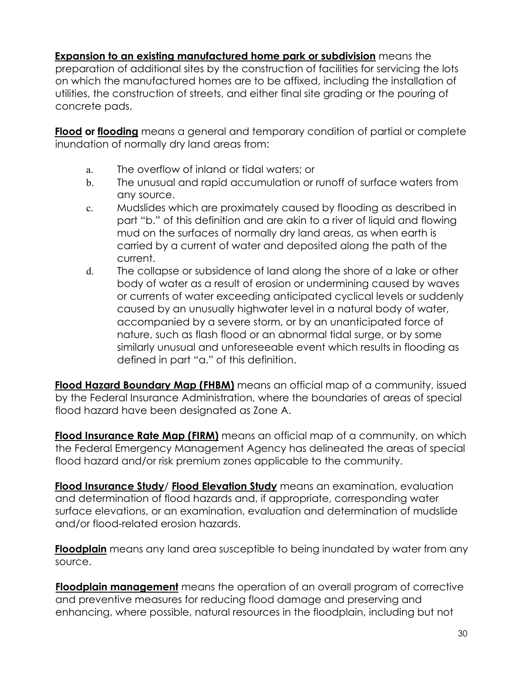**Expansion to an existing manufactured home park or subdivision** means the preparation of additional sites by the construction of facilities for servicing the lots on which the manufactured homes are to be affixed, including the installation of utilities, the construction of streets, and either final site grading or the pouring of concrete pads.

**Flood or flooding** means a general and temporary condition of partial or complete inundation of normally dry land areas from:

- a. The overflow of inland or tidal waters; or
- b. The unusual and rapid accumulation or runoff of surface waters from any source.
- c. Mudslides which are proximately caused by flooding as described in part "b." of this definition and are akin to a river of liquid and flowing mud on the surfaces of normally dry land areas, as when earth is carried by a current of water and deposited along the path of the current.
- d. The collapse or subsidence of land along the shore of a lake or other body of water as a result of erosion or undermining caused by waves or currents of water exceeding anticipated cyclical levels or suddenly caused by an unusually highwater level in a natural body of water, accompanied by a severe storm, or by an unanticipated force of nature, such as flash flood or an abnormal tidal surge, or by some similarly unusual and unforeseeable event which results in flooding as defined in part "a." of this definition.

**Flood Hazard Boundary Map (FHBM)** means an official map of a community, issued by the Federal Insurance Administration, where the boundaries of areas of special flood hazard have been designated as Zone A.

**Flood Insurance Rate Map (FIRM)** means an official map of a community, on which the Federal Emergency Management Agency has delineated the areas of special flood hazard and/or risk premium zones applicable to the community.

**Flood Insurance Study**/ **Flood Elevation Study** means an examination, evaluation and determination of flood hazards and, if appropriate, corresponding water surface elevations, or an examination, evaluation and determination of mudslide and/or flood-related erosion hazards.

**Floodplain** means any land area susceptible to being inundated by water from any source.

**Floodplain management** means the operation of an overall program of corrective and preventive measures for reducing flood damage and preserving and enhancing, where possible, natural resources in the floodplain, including but not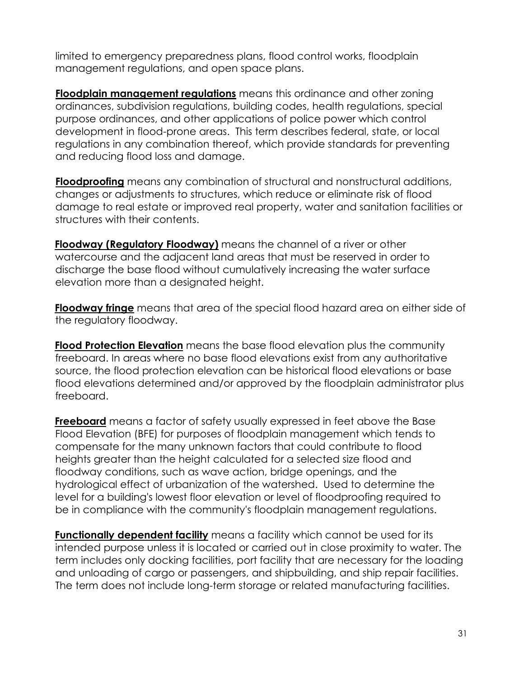limited to emergency preparedness plans, flood control works, floodplain management regulations, and open space plans.

**Floodplain management regulations** means this ordinance and other zoning ordinances, subdivision regulations, building codes, health regulations, special purpose ordinances, and other applications of police power which control development in flood-prone areas. This term describes federal, state, or local regulations in any combination thereof, which provide standards for preventing and reducing flood loss and damage.

**Floodproofing** means any combination of structural and nonstructural additions, changes or adjustments to structures, which reduce or eliminate risk of flood damage to real estate or improved real property, water and sanitation facilities or structures with their contents.

**Floodway (Regulatory Floodway)** means the channel of a river or other watercourse and the adjacent land areas that must be reserved in order to discharge the base flood without cumulatively increasing the water surface elevation more than a designated height.

**Floodway fringe** means that area of the special flood hazard area on either side of the regulatory floodway.

**Flood Protection Elevation** means the base flood elevation plus the community freeboard. In areas where no base flood elevations exist from any authoritative source, the flood protection elevation can be historical flood elevations or base flood elevations determined and/or approved by the floodplain administrator plus freeboard.

**Freeboard** means a factor of safety usually expressed in feet above the Base Flood Elevation (BFE) for purposes of floodplain management which tends to compensate for the many unknown factors that could contribute to flood heights greater than the height calculated for a selected size flood and floodway conditions, such as wave action, bridge openings, and the hydrological effect of urbanization of the watershed. Used to determine the level for a building's lowest floor elevation or level of floodproofing required to be in compliance with the community's floodplain management regulations.

**Functionally dependent facility** means a facility which cannot be used for its intended purpose unless it is located or carried out in close proximity to water. The term includes only docking facilities, port facility that are necessary for the loading and unloading of cargo or passengers, and shipbuilding, and ship repair facilities. The term does not include long-term storage or related manufacturing facilities.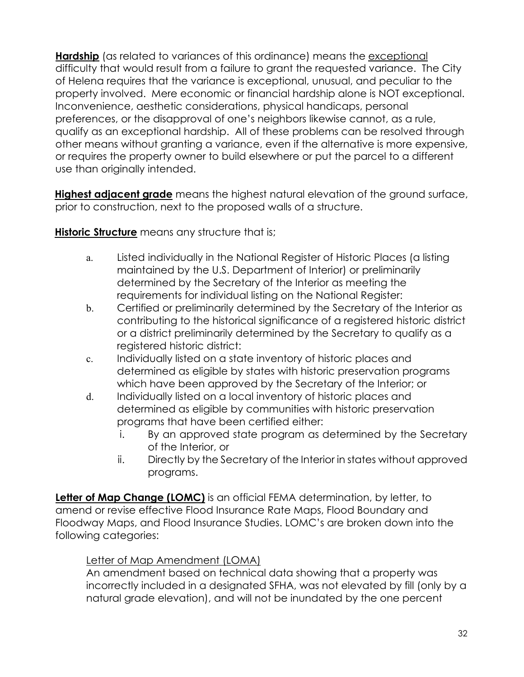**Hardship** (as related to variances of this ordinance) means the exceptional difficulty that would result from a failure to grant the requested variance. The City of Helena requires that the variance is exceptional, unusual, and peculiar to the property involved. Mere economic or financial hardship alone is NOT exceptional. Inconvenience, aesthetic considerations, physical handicaps, personal preferences, or the disapproval of one's neighbors likewise cannot, as a rule, qualify as an exceptional hardship. All of these problems can be resolved through other means without granting a variance, even if the alternative is more expensive, or requires the property owner to build elsewhere or put the parcel to a different use than originally intended.

**Highest adjacent grade** means the highest natural elevation of the ground surface, prior to construction, next to the proposed walls of a structure.

**Historic Structure** means any structure that is;

- a. Listed individually in the National Register of Historic Places (a listing maintained by the U.S. Department of Interior) or preliminarily determined by the Secretary of the Interior as meeting the requirements for individual listing on the National Register:
- b. Certified or preliminarily determined by the Secretary of the Interior as contributing to the historical significance of a registered historic district or a district preliminarily determined by the Secretary to qualify as a registered historic district:
- c. Individually listed on a state inventory of historic places and determined as eligible by states with historic preservation programs which have been approved by the Secretary of the Interior; or
- d. Individually listed on a local inventory of historic places and determined as eligible by communities with historic preservation programs that have been certified either:
	- i. By an approved state program as determined by the Secretary of the Interior, or
	- ii. Directly by the Secretary of the Interior in states without approved programs.

**Letter of Map Change (LOMC)** is an official FEMA determination, by letter, to amend or revise effective Flood Insurance Rate Maps, Flood Boundary and Floodway Maps, and Flood Insurance Studies. LOMC's are broken down into the following categories:

#### Letter of Map Amendment (LOMA)

An amendment based on technical data showing that a property was incorrectly included in a designated SFHA, was not elevated by fill (only by a natural grade elevation), and will not be inundated by the one percent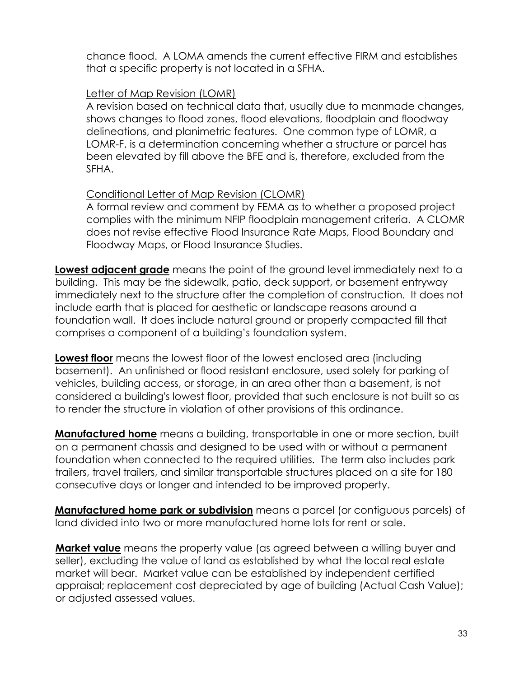chance flood. A LOMA amends the current effective FIRM and establishes that a specific property is not located in a SFHA.

#### Letter of Map Revision (LOMR)

A revision based on technical data that, usually due to manmade changes, shows changes to flood zones, flood elevations, floodplain and floodway delineations, and planimetric features. One common type of LOMR, a LOMR-F, is a determination concerning whether a structure or parcel has been elevated by fill above the BFE and is, therefore, excluded from the SFHA.

#### Conditional Letter of Map Revision (CLOMR)

A formal review and comment by FEMA as to whether a proposed project complies with the minimum NFIP floodplain management criteria. A CLOMR does not revise effective Flood Insurance Rate Maps, Flood Boundary and Floodway Maps, or Flood Insurance Studies.

**Lowest adjacent grade** means the point of the ground level immediately next to a building. This may be the sidewalk, patio, deck support, or basement entryway immediately next to the structure after the completion of construction. It does not include earth that is placed for aesthetic or landscape reasons around a foundation wall. It does include natural ground or properly compacted fill that comprises a component of a building's foundation system.

**Lowest floor** means the lowest floor of the lowest enclosed area (including basement). An unfinished or flood resistant enclosure, used solely for parking of vehicles, building access, or storage, in an area other than a basement, is not considered a building's lowest floor, provided that such enclosure is not built so as to render the structure in violation of other provisions of this ordinance.

**Manufactured home** means a building, transportable in one or more section, built on a permanent chassis and designed to be used with or without a permanent foundation when connected to the required utilities. The term also includes park trailers, travel trailers, and similar transportable structures placed on a site for 180 consecutive days or longer and intended to be improved property.

**Manufactured home park or subdivision** means a parcel (or contiguous parcels) of land divided into two or more manufactured home lots for rent or sale.

**Market value** means the property value (as agreed between a willing buyer and seller), excluding the value of land as established by what the local real estate market will bear. Market value can be established by independent certified appraisal; replacement cost depreciated by age of building (Actual Cash Value); or adjusted assessed values.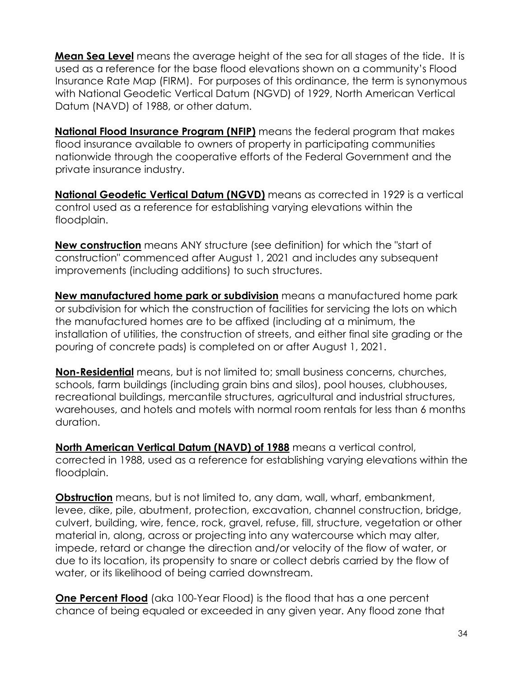**Mean Sea Level** means the average height of the sea for all stages of the tide. It is used as a reference for the base flood elevations shown on a community's Flood Insurance Rate Map (FIRM). For purposes of this ordinance, the term is synonymous with National Geodetic Vertical Datum (NGVD) of 1929, North American Vertical Datum (NAVD) of 1988, or other datum.

**National Flood Insurance Program (NFIP)** means the federal program that makes flood insurance available to owners of property in participating communities nationwide through the cooperative efforts of the Federal Government and the private insurance industry.

**National Geodetic Vertical Datum (NGVD)** means as corrected in 1929 is a vertical control used as a reference for establishing varying elevations within the floodplain.

**New construction** means ANY structure (see definition) for which the "start of construction" commenced after August 1, 2021 and includes any subsequent improvements (including additions) to such structures.

**New manufactured home park or subdivision** means a manufactured home park or subdivision for which the construction of facilities for servicing the lots on which the manufactured homes are to be affixed (including at a minimum, the installation of utilities, the construction of streets, and either final site grading or the pouring of concrete pads) is completed on or after August 1, 2021.

**Non-Residential** means, but is not limited to; small business concerns, churches, schools, farm buildings (including grain bins and silos), pool houses, clubhouses, recreational buildings, mercantile structures, agricultural and industrial structures, warehouses, and hotels and motels with normal room rentals for less than 6 months duration.

**North American Vertical Datum (NAVD) of 1988** means a vertical control, corrected in 1988, used as a reference for establishing varying elevations within the floodplain.

**Obstruction** means, but is not limited to, any dam, wall, wharf, embankment, levee, dike, pile, abutment, protection, excavation, channel construction, bridge, culvert, building, wire, fence, rock, gravel, refuse, fill, structure, vegetation or other material in, along, across or projecting into any watercourse which may alter, impede, retard or change the direction and/or velocity of the flow of water, or due to its location, its propensity to snare or collect debris carried by the flow of water, or its likelihood of being carried downstream.

**One Percent Flood** (aka 100-Year Flood) is the flood that has a one percent chance of being equaled or exceeded in any given year. Any flood zone that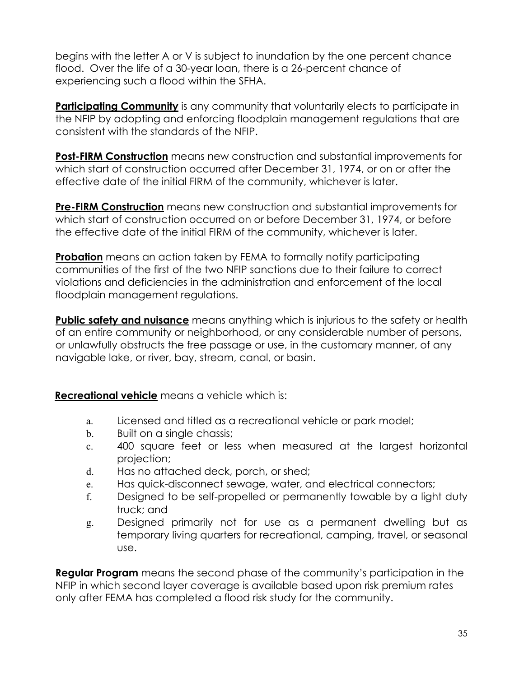begins with the letter A or V is subject to inundation by the one percent chance flood. Over the life of a 30-year loan, there is a 26-percent chance of experiencing such a flood within the SFHA.

**Participating Community** is any community that voluntarily elects to participate in the NFIP by adopting and enforcing floodplain management regulations that are consistent with the standards of the NFIP.

**Post-FIRM Construction** means new construction and substantial improvements for which start of construction occurred after December 31, 1974, or on or after the effective date of the initial FIRM of the community, whichever is later.

**Pre-FIRM Construction** means new construction and substantial improvements for which start of construction occurred on or before December 31, 1974, or before the effective date of the initial FIRM of the community, whichever is later.

**Probation** means an action taken by FEMA to formally notify participating communities of the first of the two NFIP sanctions due to their failure to correct violations and deficiencies in the administration and enforcement of the local floodplain management regulations.

**Public safety and nuisance** means anything which is injurious to the safety or health of an entire community or neighborhood, or any considerable number of persons, or unlawfully obstructs the free passage or use, in the customary manner, of any navigable lake, or river, bay, stream, canal, or basin.

**Recreational vehicle** means a vehicle which is:

- a. Licensed and titled as a recreational vehicle or park model;
- b. Built on a single chassis;
- c. 400 square feet or less when measured at the largest horizontal projection;
- d. Has no attached deck, porch, or shed;
- e. Has quick-disconnect sewage, water, and electrical connectors;
- f. Designed to be self-propelled or permanently towable by a light duty truck; and
- g. Designed primarily not for use as a permanent dwelling but as temporary living quarters for recreational, camping, travel, or seasonal use.

**Regular Program** means the second phase of the community's participation in the NFIP in which second layer coverage is available based upon risk premium rates only after FEMA has completed a flood risk study for the community.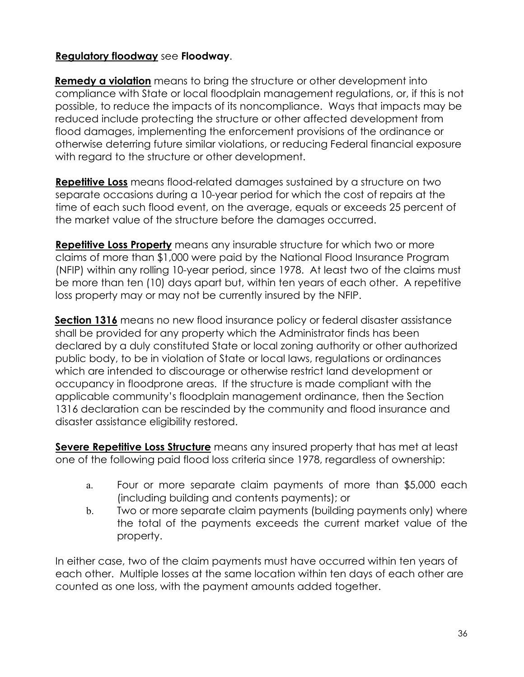#### **Regulatory floodway** see **Floodway**.

**Remedy a violation** means to bring the structure or other development into compliance with State or local floodplain management regulations, or, if this is not possible, to reduce the impacts of its noncompliance. Ways that impacts may be reduced include protecting the structure or other affected development from flood damages, implementing the enforcement provisions of the ordinance or otherwise deterring future similar violations, or reducing Federal financial exposure with regard to the structure or other development.

**Repetitive Loss** means flood-related damages sustained by a structure on two separate occasions during a 10-year period for which the cost of repairs at the time of each such flood event, on the average, equals or exceeds 25 percent of the market value of the structure before the damages occurred.

**Repetitive Loss Property** means any insurable structure for which two or more claims of more than \$1,000 were paid by the National Flood Insurance Program (NFIP) within any rolling 10-year period, since 1978. At least two of the claims must be more than ten (10) days apart but, within ten years of each other. A repetitive loss property may or may not be currently insured by the NFIP.

**Section 1316** means no new flood insurance policy or federal disaster assistance shall be provided for any property which the Administrator finds has been declared by a duly constituted State or local zoning authority or other authorized public body, to be in violation of State or local laws, regulations or ordinances which are intended to discourage or otherwise restrict land development or occupancy in floodprone areas. If the structure is made compliant with the applicable community's floodplain management ordinance, then the Section 1316 declaration can be rescinded by the community and flood insurance and disaster assistance eligibility restored.

**Severe Repetitive Loss Structure** means any insured property that has met at least one of the following paid flood loss criteria since 1978, regardless of ownership:

- a. Four or more separate claim payments of more than \$5,000 each (including building and contents payments); or
- b. Two or more separate claim payments (building payments only) where the total of the payments exceeds the current market value of the property.

In either case, two of the claim payments must have occurred within ten years of each other. Multiple losses at the same location within ten days of each other are counted as one loss, with the payment amounts added together.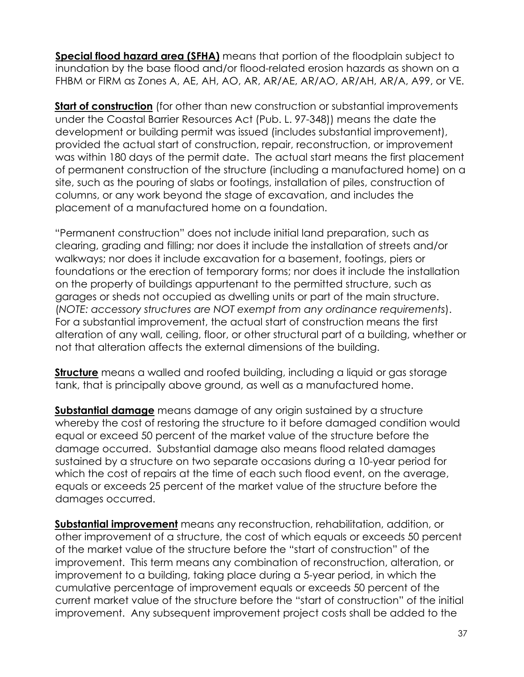**Special flood hazard area (SFHA)** means that portion of the floodplain subject to inundation by the base flood and/or flood-related erosion hazards as shown on a FHBM or FIRM as Zones A, AE, AH, AO, AR, AR/AE, AR/AO, AR/AH, AR/A, A99, or VE.

**Start of construction** (for other than new construction or substantial improvements under the Coastal Barrier Resources Act (Pub. L. 97-348)) means the date the development or building permit was issued (includes substantial improvement), provided the actual start of construction, repair, reconstruction, or improvement was within 180 days of the permit date. The actual start means the first placement of permanent construction of the structure (including a manufactured home) on a site, such as the pouring of slabs or footings, installation of piles, construction of columns, or any work beyond the stage of excavation, and includes the placement of a manufactured home on a foundation.

"Permanent construction" does not include initial land preparation, such as clearing, grading and filling; nor does it include the installation of streets and/or walkways; nor does it include excavation for a basement, footings, piers or foundations or the erection of temporary forms; nor does it include the installation on the property of buildings appurtenant to the permitted structure, such as garages or sheds not occupied as dwelling units or part of the main structure. (*NOTE: accessory structures are NOT exempt from any ordinance requirements*). For a substantial improvement, the actual start of construction means the first alteration of any wall, ceiling, floor, or other structural part of a building, whether or not that alteration affects the external dimensions of the building.

**Structure** means a walled and roofed building, including a liquid or gas storage tank, that is principally above ground, as well as a manufactured home.

**Substantial damage** means damage of any origin sustained by a structure whereby the cost of restoring the structure to it before damaged condition would equal or exceed 50 percent of the market value of the structure before the damage occurred. Substantial damage also means flood related damages sustained by a structure on two separate occasions during a 10-year period for which the cost of repairs at the time of each such flood event, on the average, equals or exceeds 25 percent of the market value of the structure before the damages occurred.

**Substantial improvement** means any reconstruction, rehabilitation, addition, or other improvement of a structure, the cost of which equals or exceeds 50 percent of the market value of the structure before the "start of construction" of the improvement. This term means any combination of reconstruction, alteration, or improvement to a building, taking place during a 5-year period, in which the cumulative percentage of improvement equals or exceeds 50 percent of the current market value of the structure before the "start of construction" of the initial improvement. Any subsequent improvement project costs shall be added to the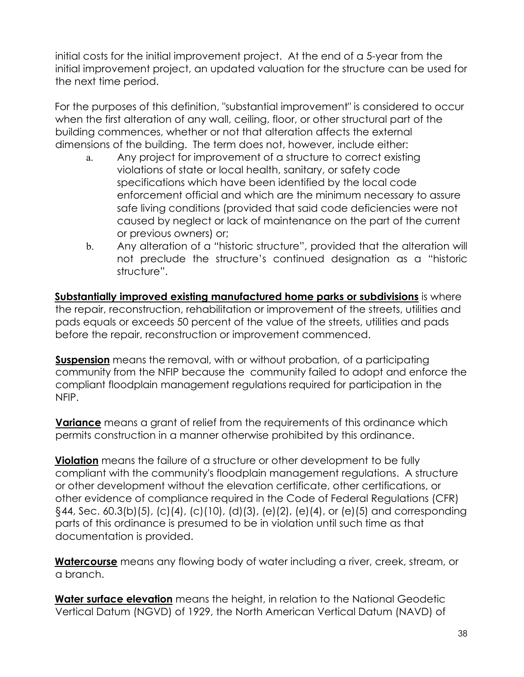initial costs for the initial improvement project. At the end of a 5-year from the initial improvement project, an updated valuation for the structure can be used for the next time period.

For the purposes of this definition, "substantial improvement" is considered to occur when the first alteration of any wall, ceiling, floor, or other structural part of the building commences, whether or not that alteration affects the external dimensions of the building. The term does not, however, include either:

- a. Any project for improvement of a structure to correct existing violations of state or local health, sanitary, or safety code specifications which have been identified by the local code enforcement official and which are the minimum necessary to assure safe living conditions (provided that said code deficiencies were not caused by neglect or lack of maintenance on the part of the current or previous owners) or;
- b. Any alteration of a "historic structure", provided that the alteration will not preclude the structure's continued designation as a "historic structure".

**Substantially improved existing manufactured home parks or subdivisions** is where the repair, reconstruction, rehabilitation or improvement of the streets, utilities and pads equals or exceeds 50 percent of the value of the streets, utilities and pads before the repair, reconstruction or improvement commenced.

**Suspension** means the removal, with or without probation, of a participating community from the NFIP because the community failed to adopt and enforce the compliant floodplain management regulations required for participation in the NFIP.

**Variance** means a grant of relief from the requirements of this ordinance which permits construction in a manner otherwise prohibited by this ordinance.

**Violation** means the failure of a structure or other development to be fully compliant with the community's floodplain management regulations. A structure or other development without the elevation certificate, other certifications, or other evidence of compliance required in the Code of Federal Regulations (CFR) §44, Sec. 60.3(b)(5), (c)(4), (c)(10), (d)(3), (e)(2), (e)(4), or (e)(5) and corresponding parts of this ordinance is presumed to be in violation until such time as that documentation is provided.

**Watercourse** means any flowing body of water including a river, creek, stream, or a branch.

**Water surface elevation** means the height, in relation to the National Geodetic Vertical Datum (NGVD) of 1929, the North American Vertical Datum (NAVD) of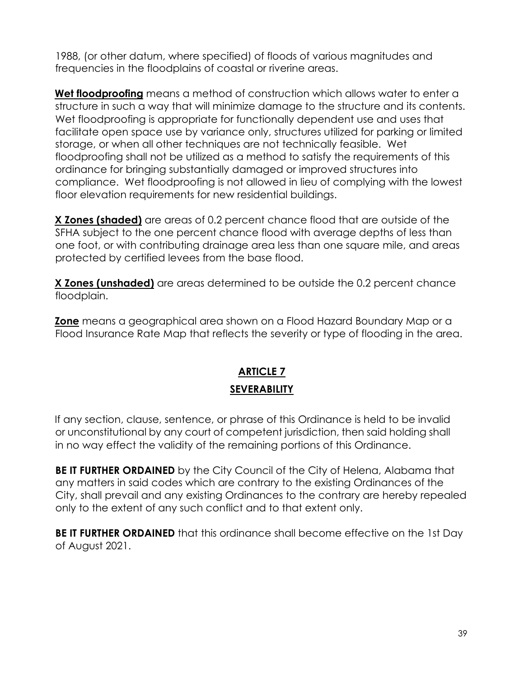1988, (or other datum, where specified) of floods of various magnitudes and frequencies in the floodplains of coastal or riverine areas.

**Wet floodproofing** means a method of construction which allows water to enter a structure in such a way that will minimize damage to the structure and its contents. Wet floodproofing is appropriate for functionally dependent use and uses that facilitate open space use by variance only, structures utilized for parking or limited storage, or when all other techniques are not technically feasible. Wet floodproofing shall not be utilized as a method to satisfy the requirements of this ordinance for bringing substantially damaged or improved structures into compliance. Wet floodproofing is not allowed in lieu of complying with the lowest floor elevation requirements for new residential buildings.

**X Zones (shaded)** are areas of 0.2 percent chance flood that are outside of the SFHA subject to the one percent chance flood with average depths of less than one foot, or with contributing drainage area less than one square mile, and areas protected by certified levees from the base flood.

**X Zones (unshaded)** are areas determined to be outside the 0.2 percent chance floodplain.

**Zone** means a geographical area shown on a Flood Hazard Boundary Map or a Flood Insurance Rate Map that reflects the severity or type of flooding in the area.

# **ARTICLE 7 SEVERABILITY**

If any section, clause, sentence, or phrase of this Ordinance is held to be invalid or unconstitutional by any court of competent jurisdiction, then said holding shall in no way effect the validity of the remaining portions of this Ordinance.

**BE IT FURTHER ORDAINED** by the City Council of the City of Helena, Alabama that any matters in said codes which are contrary to the existing Ordinances of the City, shall prevail and any existing Ordinances to the contrary are hereby repealed only to the extent of any such conflict and to that extent only.

**BE IT FURTHER ORDAINED** that this ordinance shall become effective on the 1st Day of August 2021.